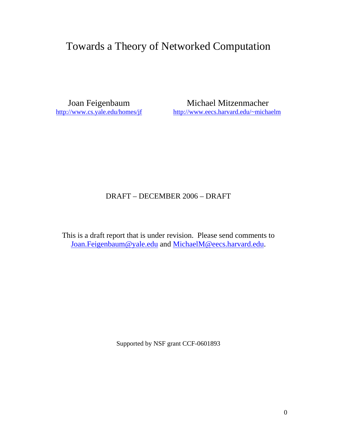# Towards a Theory of Networked Computation

Joan Feigenbaum<br>
http://www.cs.yale.edu/homes/jf<br>
http://www.eecs.harvard.edu/~micha <http://www.eecs.harvard.edu/~michaelm>

## DRAFT – DECEMBER 2006 – DRAFT

This is a draft report that is under revision. Please send comments to [Joan.Feigenbaum@yale.edu an](mailto:Joan.Feigenbaum@yale.edu)d [MichaelM@eecs.harvard.edu.](mailto:MichaelM@eecs.harvard.edu)

Supported by NSF grant CCF-0601893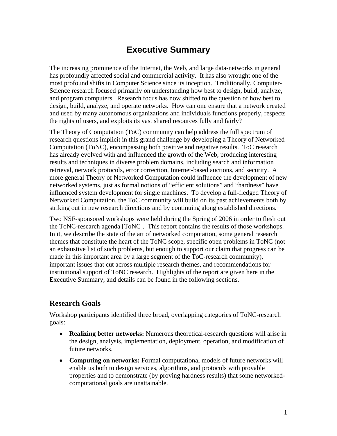## **Executive Summary**

The increasing prominence of the Internet, the Web, and large data-networks in general has profoundly affected social and commercial activity. It has also wrought one of the most profound shifts in Computer Science since its inception. Traditionally, Computer-Science research focused primarily on understanding how best to design, build, analyze, and program computers. Research focus has now shifted to the question of how best to design, build, analyze, and operate networks. How can one ensure that a network created and used by many autonomous organizations and individuals functions properly, respects the rights of users, and exploits its vast shared resources fully and fairly?

The Theory of Computation (ToC) community can help address the full spectrum of research questions implicit in this grand challenge by developing a Theory of Networked Computation (ToNC), encompassing both positive and negative results. ToC research has already evolved with and influenced the growth of the Web, producing interesting results and techniques in diverse problem domains, including search and information retrieval, network protocols, error correction, Internet-based auctions, and security. A more general Theory of Networked Computation could influence the development of new networked systems, just as formal notions of "efficient solutions" and "hardness" have influenced system development for single machines. To develop a full-fledged Theory of Networked Computation, the ToC community will build on its past achievements both by striking out in new research directions and by continuing along established directions.

Two NSF-sponsored workshops were held during the Spring of 2006 in order to flesh out the ToNC-research agenda [ToNC]. This report contains the results of those workshops. In it, we describe the state of the art of networked computation, some general research themes that constitute the heart of the ToNC scope, specific open problems in ToNC (not an exhaustive list of such problems, but enough to support our claim that progress can be made in this important area by a large segment of the ToC-research community), important issues that cut across multiple research themes, and recommendations for institutional support of ToNC research. Highlights of the report are given here in the Executive Summary, and details can be found in the following sections.

### **Research Goals**

Workshop participants identified three broad, overlapping categories of ToNC-research goals:

- **Realizing better networks:** Numerous theoretical-research questions will arise in the design, analysis, implementation, deployment, operation, and modification of future networks.
- **Computing on networks:** Formal computational models of future networks will enable us both to design services, algorithms, and protocols with provable properties and to demonstrate (by proving hardness results) that some networkedcomputational goals are unattainable.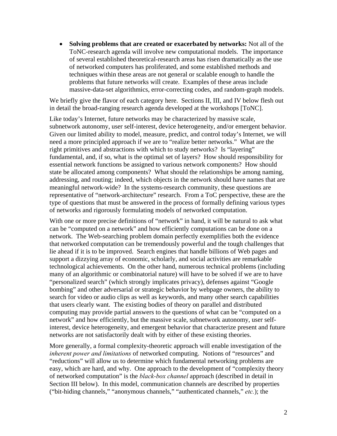**Solving problems that are created or exacerbated by networks:** Not all of the ToNC-research agenda will involve new computational models. The importance of several established theoretical-research areas has risen dramatically as the use of networked computers has proliferated, and some established methods and techniques within these areas are not general or scalable enough to handle the problems that future networks will create. Examples of these areas include massive-data-set algorithmics, error-correcting codes, and random-graph models.

We briefly give the flavor of each category here. Sections II, III, and IV below flesh out in detail the broad-ranging research agenda developed at the workshops [ToNC].

Like today's Internet, future networks may be characterized by massive scale, subnetwork autonomy, user self-interest, device heterogeneity, and/or emergent behavior. Given our limited ability to model, measure, predict, and control today's Internet, we will need a more principled approach if we are to "realize better networks." What are the right primitives and abstractions with which to study networks? Is "layering" fundamental, and, if so, what is the optimal set of layers? How should responsibility for essential network functions be assigned to various network components? How should state be allocated among components? What should the relationships be among naming, addressing, and routing; indeed, which objects in the network should have names that are meaningful network-wide? In the systems-research community, these questions are representative of "network-architecture" research. From a ToC perspective, these are the type of questions that must be answered in the process of formally defining various types of networks and rigorously formulating models of networked computation.

With one or more precise definitions of "network" in hand, it will be natural to ask what can be "computed on a network" and how efficiently computations can be done on a network. The Web-searching problem domain perfectly exemplifies both the evidence that networked computation can be tremendously powerful and the tough challenges that lie ahead if it is to be improved. Search engines that handle billions of Web pages and support a dizzying array of economic, scholarly, and social activities are remarkable technological achievements. On the other hand, numerous technical problems (including many of an algorithmic or combinatorial nature) will have to be solved if we are to have "personalized search" (which strongly implicates privacy), defenses against "Google bombing" and other adversarial or strategic behavior by webpage owners, the ability to search for video or audio clips as well as keywords, and many other search capabilities that users clearly want. The existing bodies of theory on parallel and distributed computing may provide partial answers to the questions of what can be "computed on a network" and how efficiently, but the massive scale, subnetwork autonomy, user selfinterest, device heterogeneity, and emergent behavior that characterize present and future networks are not satisfactorily dealt with by either of these existing theories.

More generally, a formal complexity-theoretic approach will enable investigation of the *inherent power and limitations* of networked computing. Notions of "resources" and "reductions" will allow us to determine which fundamental networking problems are easy, which are hard, and why. One approach to the development of "complexity theory of networked computation" is the *black-box channel* approach (described in detail in Section III below). In this model, communication channels are described by properties ("bit-hiding channels," "anonymous channels," "authenticated channels," *etc.*); the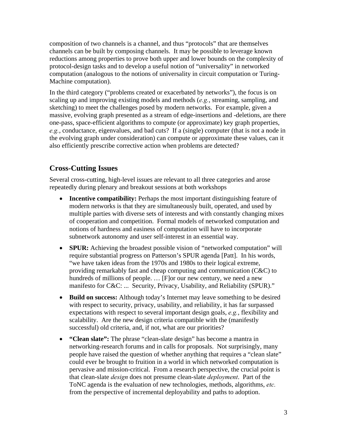composition of two channels is a channel, and thus "protocols" that are themselves channels can be built by composing channels. It may be possible to leverage known reductions among properties to prove both upper and lower bounds on the complexity of protocol-design tasks and to develop a useful notion of "universality" in networked computation (analogous to the notions of universality in circuit computation or Turing-Machine computation).

In the third category ("problems created or exacerbated by networks"), the focus is on scaling up and improving existing models and methods (*e.g.*, streaming, sampling, and sketching) to meet the challenges posed by modern networks. For example, given a massive, evolving graph presented as a stream of edge-insertions and -deletions, are there one-pass, space-efficient algorithms to compute (or approximate) key graph properties, *e.g.*, conductance, eigenvalues, and bad cuts? If a (single) computer (that is not a node in the evolving graph under consideration) can compute or approximate these values, can it also efficiently prescribe corrective action when problems are detected?

## **Cross-Cutting Issues**

Several cross-cutting, high-level issues are relevant to all three categories and arose repeatedly during plenary and breakout sessions at both workshops

- **Incentive compatibility:** Perhaps the most important distinguishing feature of modern networks is that they are simultaneously built, operated, and used by multiple parties with diverse sets of interests and with constantly changing mixes of cooperation and competition. Formal models of networked computation and notions of hardness and easiness of computation will have to incorporate subnetwork autonomy and user self-interest in an essential way.
- **SPUR:** Achieving the broadest possible vision of "networked computation" will require substantial progress on Patterson's SPUR agenda [Patt]. In his words, "we have taken ideas from the 1970s and 1980s to their logical extreme, providing remarkably fast and cheap computing and communication (C&C) to hundreds of millions of people. … [F]or our new century, we need a new manifesto for C&C: ... Security, Privacy, Usability, and Reliability (SPUR)."
- **Build on success:** Although today's Internet may leave something to be desired with respect to security, privacy, usability, and reliability, it has far surpassed expectations with respect to several important design goals, *e.g.*, flexibility and scalability. Are the new design criteria compatible with the (manifestly successful) old criteria, and, if not, what are our priorities?
- **"Clean slate":** The phrase "clean-slate design" has become a mantra in networking-research forums and in calls for proposals. Not surprisingly, many people have raised the question of whether anything that requires a "clean slate" could ever be brought to fruition in a world in which networked computation is pervasive and mission-critical. From a research perspective, the crucial point is that clean-slate *design* does not presume clean-slate *deployment*. Part of the ToNC agenda is the evaluation of new technologies, methods, algorithms, *etc.* from the perspective of incremental deployability and paths to adoption.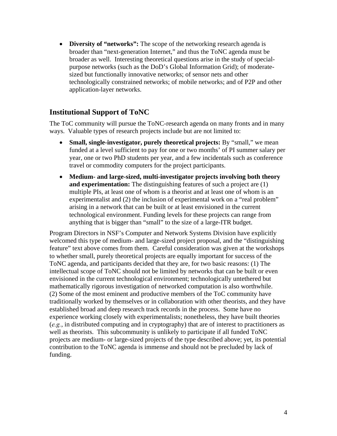• **Diversity of "networks":** The scope of the networking research agenda is broader than "next-generation Internet," and thus the ToNC agenda must be broader as well. Interesting theoretical questions arise in the study of specialpurpose networks (such as the DoD's Global Information Grid); of moderatesized but functionally innovative networks; of sensor nets and other technologically constrained networks; of mobile networks; and of P2P and other application-layer networks.

### **Institutional Support of ToNC**

The ToC community will pursue the ToNC-research agenda on many fronts and in many ways. Valuable types of research projects include but are not limited to:

- **Small, single-investigator, purely theoretical projects:** By "small," we mean funded at a level sufficient to pay for one or two months' of PI summer salary per year, one or two PhD students per year, and a few incidentals such as conference travel or commodity computers for the project participants.
- **Medium- and large-sized, multi-investigator projects involving both theory and experimentation:** The distinguishing features of such a project are (1) multiple PIs, at least one of whom is a theorist and at least one of whom is an experimentalist and (2) the inclusion of experimental work on a "real problem" arising in a network that can be built or at least envisioned in the current technological environment. Funding levels for these projects can range from anything that is bigger than "small" to the size of a large-ITR budget.

Program Directors in NSF's Computer and Network Systems Division have explicitly welcomed this type of medium- and large-sized project proposal, and the "distinguishing feature" text above comes from them. Careful consideration was given at the workshops to whether small, purely theoretical projects are equally important for success of the ToNC agenda, and participants decided that they are, for two basic reasons: (1) The intellectual scope of ToNC should not be limited by networks that can be built or even envisioned in the current technological environment; technologically untethered but mathematically rigorous investigation of networked computation is also worthwhile. (2) Some of the most eminent and productive members of the ToC community have traditionally worked by themselves or in collaboration with other theorists, and they have established broad and deep research track records in the process. Some have no experience working closely with experimentalists; nonetheless, they have built theories (*e.g.*, in distributed computing and in cryptography) that are of interest to practitioners as well as theorists. This subcommunity is unlikely to participate if all funded ToNC projects are medium- or large-sized projects of the type described above; yet, its potential contribution to the ToNC agenda is immense and should not be precluded by lack of funding.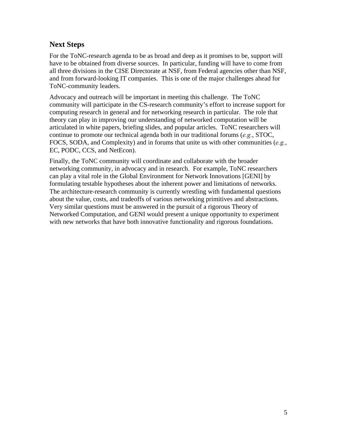## **Next Steps**

For the ToNC-research agenda to be as broad and deep as it promises to be, support will have to be obtained from diverse sources. In particular, funding will have to come from all three divisions in the CISE Directorate at NSF, from Federal agencies other than NSF, and from forward-looking IT companies. This is one of the major challenges ahead for ToNC-community leaders.

Advocacy and outreach will be important in meeting this challenge. The ToNC community will participate in the CS-research community's effort to increase support for computing research in general and for networking research in particular. The role that theory can play in improving our understanding of networked computation will be articulated in white papers, briefing slides, and popular articles. ToNC researchers will continue to promote our technical agenda both in our traditional forums (*e.g.*, STOC, FOCS, SODA, and Complexity) and in forums that unite us with other communities (*e.g.*, EC, PODC, CCS, and NetEcon).

Finally, the ToNC community will coordinate and collaborate with the broader networking community, in advocacy and in research. For example, ToNC researchers can play a vital role in the Global Environment for Network Innovations [GENI] by formulating testable hypotheses about the inherent power and limitations of networks. The architecture-research community is currently wrestling with fundamental questions about the value, costs, and tradeoffs of various networking primitives and abstractions. Very similar questions must be answered in the pursuit of a rigorous Theory of Networked Computation, and GENI would present a unique opportunity to experiment with new networks that have both innovative functionality and rigorous foundations.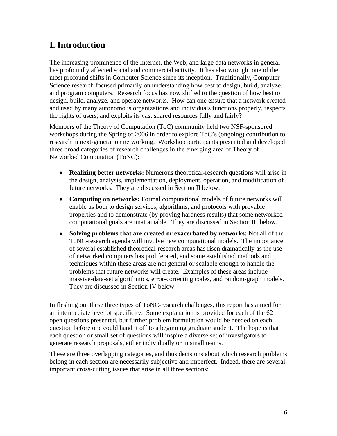# **I. Introduction**

The increasing prominence of the Internet, the Web, and large data networks in general has profoundly affected social and commercial activity. It has also wrought one of the most profound shifts in Computer Science since its inception. Traditionally, Computer-Science research focused primarily on understanding how best to design, build, analyze, and program computers. Research focus has now shifted to the question of how best to design, build, analyze, and operate networks. How can one ensure that a network created and used by many autonomous organizations and individuals functions properly, respects the rights of users, and exploits its vast shared resources fully and fairly?

Members of the Theory of Computation (ToC) community held two NSF-sponsored workshops during the Spring of 2006 in order to explore ToC's (ongoing) contribution to research in next-generation networking. Workshop participants presented and developed three broad categories of research challenges in the emerging area of Theory of Networked Computation (ToNC):

- **Realizing better networks:** Numerous theoretical-research questions will arise in the design, analysis, implementation, deployment, operation, and modification of future networks. They are discussed in Section II below.
- **Computing on networks:** Formal computational models of future networks will enable us both to design services, algorithms, and protocols with provable properties and to demonstrate (by proving hardness results) that some networkedcomputational goals are unattainable. They are discussed in Section III below.
- **Solving problems that are created or exacerbated by networks:** Not all of the ToNC-research agenda will involve new computational models. The importance of several established theoretical-research areas has risen dramatically as the use of networked computers has proliferated, and some established methods and techniques within these areas are not general or scalable enough to handle the problems that future networks will create. Examples of these areas include massive-data-set algorithmics, error-correcting codes, and random-graph models. They are discussed in Section IV below.

In fleshing out these three types of ToNC-research challenges, this report has aimed for an intermediate level of specificity. Some explanation is provided for each of the 62 open questions presented, but further problem formulation would be needed on each question before one could hand it off to a beginning graduate student. The hope is that each question or small set of questions will inspire a diverse set of investigators to generate research proposals, either individually or in small teams.

These are three overlapping categories, and thus decisions about which research problems belong in each section are necessarily subjective and imperfect. Indeed, there are several important cross-cutting issues that arise in all three sections: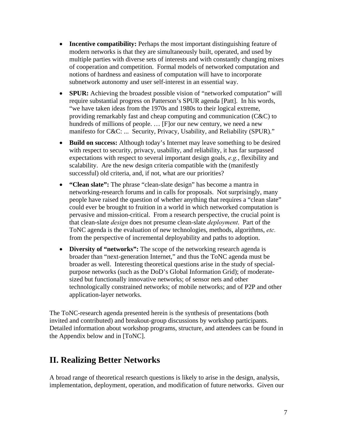- **Incentive compatibility:** Perhaps the most important distinguishing feature of modern networks is that they are simultaneously built, operated, and used by multiple parties with diverse sets of interests and with constantly changing mixes of cooperation and competition. Formal models of networked computation and notions of hardness and easiness of computation will have to incorporate subnetwork autonomy and user self-interest in an essential way.
- **SPUR:** Achieving the broadest possible vision of "networked computation" will require substantial progress on Patterson's SPUR agenda [Patt]. In his words, "we have taken ideas from the 1970s and 1980s to their logical extreme, providing remarkably fast and cheap computing and communication (C&C) to hundreds of millions of people. … [F]or our new century, we need a new manifesto for C&C: ... Security, Privacy, Usability, and Reliability (SPUR)."
- **Build on success:** Although today's Internet may leave something to be desired with respect to security, privacy, usability, and reliability, it has far surpassed expectations with respect to several important design goals, *e.g.*, flexibility and scalability. Are the new design criteria compatible with the (manifestly successful) old criteria, and, if not, what are our priorities?
- **"Clean slate":** The phrase "clean-slate design" has become a mantra in networking-research forums and in calls for proposals. Not surprisingly, many people have raised the question of whether anything that requires a "clean slate" could ever be brought to fruition in a world in which networked computation is pervasive and mission-critical. From a research perspective, the crucial point is that clean-slate *design* does not presume clean-slate *deployment*. Part of the ToNC agenda is the evaluation of new technologies, methods, algorithms, *etc.* from the perspective of incremental deployability and paths to adoption.
- **Diversity of "networks":** The scope of the networking research agenda is broader than "next-generation Internet," and thus the ToNC agenda must be broader as well. Interesting theoretical questions arise in the study of specialpurpose networks (such as the DoD's Global Information Grid); of moderatesized but functionally innovative networks; of sensor nets and other technologically constrained networks; of mobile networks; and of P2P and other application-layer networks.

The ToNC-research agenda presented herein is the synthesis of presentations (both invited and contributed) and breakout-group discussions by workshop participants. Detailed information about workshop programs, structure, and attendees can be found in the Appendix below and in [ToNC].

## **II. Realizing Better Networks**

A broad range of theoretical research questions is likely to arise in the design, analysis, implementation, deployment, operation, and modification of future networks. Given our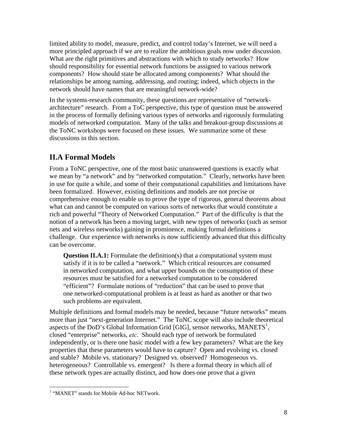limited ability to model, measure, predict, and control today's Internet, we will need a more principled approach if we are to realize the ambitious goals now under discussion. What are the right primitives and abstractions with which to study networks? How should responsibility for essential network functions be assigned to various network components? How should state be allocated among components? What should the relationships be among naming, addressing, and routing; indeed, which objects in the network should have names that are meaningful network-wide?

In the systems-research community, these questions are representative of "networkarchitecture" research. From a ToC perspective, this type of question must be answered in the process of formally defining various types of networks and rigorously formulating models of networked computation. Many of the talks and breakout-group discussions at the ToNC workshops were focused on these issues. We summarize some of these discussions in this section.

## **II.A Formal Models**

From a ToNC perspective, one of the most basic unanswered questions is exactly what we mean by "a network" and by "networked computation." Clearly, networks have been in use for quite a while, and some of their computational capabilities and limitations have been formalized. However, existing definitions and models are not precise or comprehensive enough to enable us to prove the type of rigorous, general theorems about what can and cannot be computed on various sorts of networks that would constitute a rich and powerful "Theory of Networked Computation." Part of the difficulty is that the notion of a network has been a moving target, with new types of networks (such as sensor nets and wireless networks) gaining in prominence, making formal definitions a challenge. Our experience with networks is now sufficiently advanced that this difficulty can be overcome.

**Question II.A.1:** Formulate the definition(s) that a computational system must satisfy if it is to be called a "network." Which critical resources are consumed in networked computation, and what upper bounds on the consumption of these resources must be satisfied for a networked computation to be considered "efficient"? Formulate notions of "reduction" that can be used to prove that one networked-computational problem is at least as hard as another or that two such problems are equivalent.

Multiple definitions and formal models may be needed, because "future networks" means more than just "next-generation Internet." The ToNC scope will also include theoretical aspects of the DoD's Global Information Grid [GIG], sensor networks, MANETS<sup>1</sup>, closed "enterprise" networks, *etc*. Should each type of network be formulated independently, or is there one basic model with a few key parameters? What are the key properties that these parameters would have to capture? Open and evolving vs. closed and stable? Mobile vs. stationary? Designed vs. observed? Homogeneous vs. heterogeneous? Controllable vs. emergent? Is there a formal theory in which all of these network types are actually distinct, and how does one prove that a given

 $\overline{a}$ 

<sup>&</sup>lt;sup>1</sup> "MANET" stands for Mobile Ad-hoc NETwork.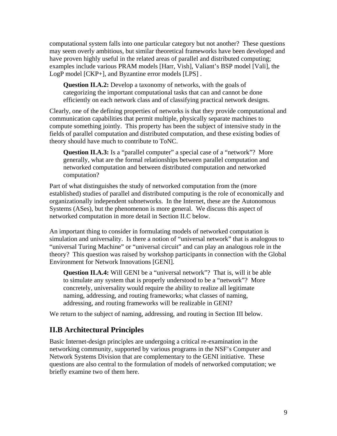computational system falls into one particular category but not another? These questions may seem overly ambitious, but similar theoretical frameworks have been developed and have proven highly useful in the related areas of parallel and distributed computing; examples include various PRAM models [Harr, Vish], Valiant's BSP model [Vali], the LogP model [CKP+], and Byzantine error models [LPS] .

**Question II.A.2:** Develop a taxonomy of networks, with the goals of categorizing the important computational tasks that can and cannot be done efficiently on each network class and of classifying practical network designs.

Clearly, one of the defining properties of networks is that they provide computational and communication capabilities that permit multiple, physically separate machines to compute something jointly. This property has been the subject of intensive study in the fields of parallel computation and distributed computation, and these existing bodies of theory should have much to contribute to ToNC.

**Question II.A.3:** Is a "parallel computer" a special case of a "network"? More generally, what are the formal relationships between parallel computation and networked computation and between distributed computation and networked computation?

Part of what distinguishes the study of networked computation from the (more established) studies of parallel and distributed computing is the role of economically and organizationally independent subnetworks. In the Internet, these are the Autonomous Systems (ASes), but the phenomenon is more general. We discuss this aspect of networked computation in more detail in Section II.C below.

An important thing to consider in formulating models of networked computation is simulation and universality. Is there a notion of "universal network" that is analogous to "universal Turing Machine" or "universal circuit" and can play an analogous role in the theory? This question was raised by workshop participants in connection with the Global Environment for Network Innovations [GENI].

**Question II.A.4:** Will GENI be a "universal network"? That is, will it be able to simulate any system that is properly understood to be a "network"? More concretely, universality would require the ability to realize all legitimate naming, addressing, and routing frameworks; what classes of naming, addressing, and routing frameworks will be realizable in GENI?

We return to the subject of naming, addressing, and routing in Section III below.

#### **II.B Architectural Principles**

Basic Internet-design principles are undergoing a critical re-examination in the networking community, supported by various programs in the NSF's Computer and Network Systems Division that are complementary to the GENI initiative. These questions are also central to the formulation of models of networked computation; we briefly examine two of them here.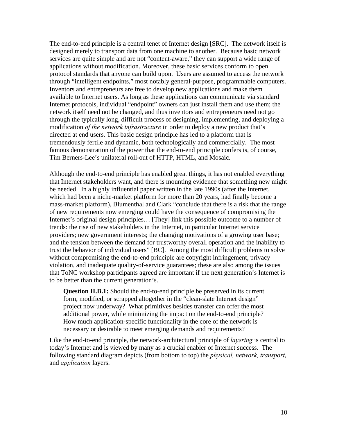The end-to-end principle is a central tenet of Internet design [SRC]. The network itself is designed merely to transport data from one machine to another. Because basic network services are quite simple and are not "content-aware," they can support a wide range of applications without modification. Moreover, these basic services conform to open protocol standards that anyone can build upon. Users are assumed to access the network through "intelligent endpoints," most notably general-purpose, programmable computers. Inventors and entrepreneurs are free to develop new applications and make them available to Internet users. As long as these applications can communicate via standard Internet protocols, individual "endpoint" owners can just install them and use them; the network itself need not be changed, and thus inventors and entrepreneurs need not go through the typically long, difficult process of designing, implementing, and deploying a modification *of the network infrastructure* in order to deploy a new product that's directed at end users. This basic design principle has led to a platform that is tremendously fertile and dynamic, both technologically and commercially. The most famous demonstration of the power that the end-to-end principle confers is, of course, Tim Berners-Lee's unilateral roll-out of HTTP, HTML, and Mosaic.

Although the end-to-end principle has enabled great things, it has not enabled everything that Internet stakeholders want, and there is mounting evidence that something new might be needed. In a highly influential paper written in the late 1990s (after the Internet, which had been a niche-market platform for more than 20 years, had finally become a mass-market platform), Blumenthal and Clark "conclude that there is a risk that the range of new requirements now emerging could have the consequence of compromising the Internet's original design principles… [They] link this possible outcome to a number of trends: the rise of new stakeholders in the Internet, in particular Internet service providers; new government interests; the changing motivations of a growing user base; and the tension between the demand for trustworthy overall operation and the inability to trust the behavior of individual users" [BC]. Among the most difficult problems to solve without compromising the end-to-end principle are copyright infringement, privacy violation, and inadequate quality-of-service guarantees; these are also among the issues that ToNC workshop participants agreed are important if the next generation's Internet is to be better than the current generation's.

**Question II.B.1:** Should the end-to-end principle be preserved in its current form, modified, or scrapped altogether in the "clean-slate Internet design" project now underway? What primitives besides transfer can offer the most additional power, while minimizing the impact on the end-to-end principle? How much application-specific functionality in the core of the network is necessary or desirable to meet emerging demands and requirements?

Like the end-to-end principle, the network-architectural principle of *layering* is central to today's Internet and is viewed by many as a crucial enabler of Internet success. The following standard diagram depicts (from bottom to top) the *physical, network, transport*, and *application* layers.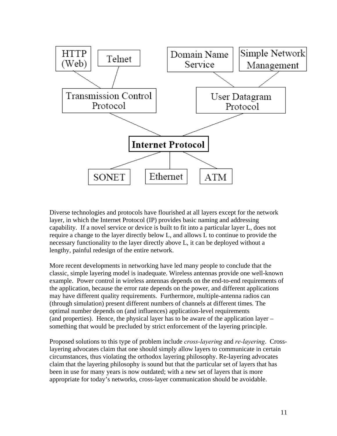

Diverse technologies and protocols have flourished at all layers except for the network layer, in which the Internet Protocol (IP) provides basic naming and addressing capability. If a novel service or device is built to fit into a particular layer L, does not require a change to the layer directly below L, and allows L to continue to provide the necessary functionality to the layer directly above L, it can be deployed without a lengthy, painful redesign of the entire network.

More recent developments in networking have led many people to conclude that the classic, simple layering model is inadequate. Wireless antennas provide one well-known example. Power control in wireless antennas depends on the end-to-end requirements of the application, because the error rate depends on the power, and different applications may have different quality requirements. Furthermore, multiple-antenna radios can (through simulation) present different numbers of channels at different times. The optimal number depends on (and influences) application-level requirements (and properties). Hence, the physical layer has to be aware of the application layer – something that would be precluded by strict enforcement of the layering principle.

Proposed solutions to this type of problem include *cross-layering* and *re-layering*. Crosslayering advocates claim that one should simply allow layers to communicate in certain circumstances, thus violating the orthodox layering philosophy. Re-layering advocates claim that the layering philosophy is sound but that the particular set of layers that has been in use for many years is now outdated; with a new set of layers that is more appropriate for today's networks, cross-layer communication should be avoidable.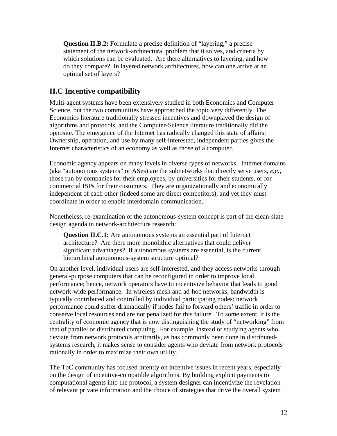**Question II.B.2:** Formulate a precise definition of "layering," a precise statement of the network-architectural problem that it solves, and criteria by which solutions can be evaluated. Are there alternatives to layering, and how do they compare? In layered network architectures, how can one arrive at an optimal set of layers?

## **II.C Incentive compatibility**

Multi-agent systems have been extensively studied in both Economics and Computer Science, but the two communities have approached the topic very differently. The Economics literature traditionally stressed incentives and downplayed the design of algorithms and protocols, and the Computer-Science literature traditionally did the opposite. The emergence of the Internet has radically changed this state of affairs: Ownership, operation, and use by many self-interested, independent parties gives the Internet characteristics of an economy as well as those of a computer.

Economic agency appears on many levels in diverse types of networks. Internet domains (aka "autonomous systems" or ASes) are the subnetworks that directly serve users, *e.g.*, those run by companies for their employees, by universities for their students, or for commercial ISPs for their customers. They are organizationally and economically independent of each other (indeed some are direct competitors), and yet they must coordinate in order to enable interdomain communication.

Nonetheless, re-examination of the autonomous-system concept is part of the clean-slate design agenda in network-architecture research:

**Question II.C.1:** Are autonomous systems an essential part of Internet architecture? Are there more monolithic alternatives that could deliver significant advantages? If autonomous systems are essential, is the current hierarchical autonomous-system structure optimal?

On another level, individual users are self-interested, and they access networks through general-purpose computers that can be reconfigured in order to improve local performance; hence, network operators have to incentivize behavior that leads to good network-wide performance. In wireless mesh and ad-hoc networks, bandwidth is typically contributed and controlled by individual participating nodes; network performance could suffer dramatically if nodes fail to forward others' traffic in order to conserve local resources and are not penalized for this failure. To some extent, it is the centrality of economic agency that is now distinguishing the study of "networking" from that of parallel or distributed computing. For example, instead of studying agents who deviate from network protocols arbitrarily, as has commonly been done in distributedsystems research, it makes sense to consider agents who deviate from network protocols rationally in order to maximize their own utility.

The ToC community has focused intently on incentive issues in recent years, especially on the design of incentive-compatible algorithms. By building explicit payments to computational agents into the protocol, a system designer can incentivize the revelation of relevant private information and the choice of strategies that drive the overall system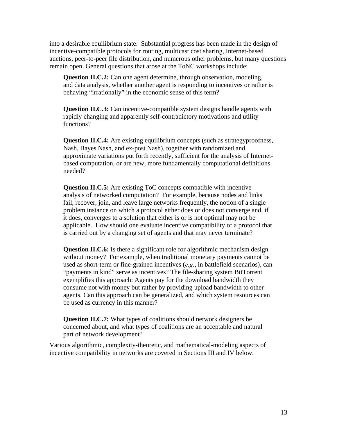into a desirable equilibrium state. Substantial progress has been made in the design of incentive-compatible protocols for routing, multicast cost sharing, Internet-based auctions, peer-to-peer file distribution, and numerous other problems, but many questions remain open. General questions that arose at the ToNC workshops include:

**Question II.C.2:** Can one agent determine, through observation, modeling, and data analysis, whether another agent is responding to incentives or rather is behaving "irrationally" in the economic sense of this term?

**Question II.C.3:** Can incentive-compatible system designs handle agents with rapidly changing and apparently self-contradictory motivations and utility functions?

**Question II.C.4:** Are existing equilibrium concepts (such as strategyproofness, Nash, Bayes Nash, and ex-post Nash), together with randomized and approximate variations put forth recently, sufficient for the analysis of Internetbased computation, or are new, more fundamentally computational definitions needed?

**Question II.C.5:** Are existing ToC concepts compatible with incentive analysis of networked computation? For example, because nodes and links fail, recover, join, and leave large networks frequently, the notion of a single problem instance on which a protocol either does or does not converge and, if it does, converges to a solution that either is or is not optimal may not be applicable. How should one evaluate incentive compatibility of a protocol that is carried out by a changing set of agents and that may never terminate?

**Question II.C.6:** Is there a significant role for algorithmic mechanism design without money? For example, when traditional monetary payments cannot be used as short-term or fine-grained incentives (*e.g.*, in battlefield scenarios), can "payments in kind" serve as incentives? The file-sharing system BitTorrent exemplifies this approach: Agents pay for the download bandwidth they consume not with money but rather by providing upload bandwidth to other agents. Can this approach can be generalized, and which system resources can be used as currency in this manner?

**Question II.C.7:** What types of coalitions should network designers be concerned about, and what types of coalitions are an acceptable and natural part of network development?

Various algorithmic, complexity-theoretic, and mathematical-modeling aspects of incentive compatibility in networks are covered in Sections III and IV below.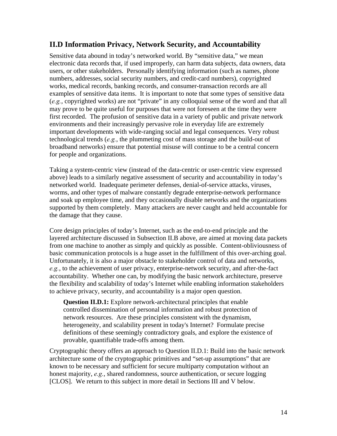### **II.D Information Privacy, Network Security, and Accountability**

Sensitive data abound in today's networked world. By "sensitive data," we mean electronic data records that, if used improperly, can harm data subjects, data owners, data users, or other stakeholders. Personally identifying information (such as names, phone numbers, addresses, social security numbers, and credit-card numbers), copyrighted works, medical records, banking records, and consumer-transaction records are all examples of sensitive data items. It is important to note that some types of sensitive data (*e.g.*, copyrighted works) are not "private" in any colloquial sense of the word and that all may prove to be quite useful for purposes that were not foreseen at the time they were first recorded. The profusion of sensitive data in a variety of public and private network environments and their increasingly pervasive role in everyday life are extremely important developments with wide-ranging social and legal consequences. Very robust technological trends (*e.g.*, the plummeting cost of mass storage and the build-out of broadband networks) ensure that potential misuse will continue to be a central concern for people and organizations.

Taking a system-centric view (instead of the data-centric or user-centric view expressed above) leads to a similarly negative assessment of security and accountability in today's networked world. Inadequate perimeter defenses, denial-of-service attacks, viruses, worms, and other types of malware constantly degrade enterprise-network performance and soak up employee time, and they occasionally disable networks and the organizations supported by them completely. Many attackers are never caught and held accountable for the damage that they cause.

Core design principles of today's Internet, such as the end-to-end principle and the layered architecture discussed in Subsection II.B above, are aimed at moving data packets from one machine to another as simply and quickly as possible. Content-obliviousness of basic communication protocols is a huge asset in the fulfillment of this over-arching goal. Unfortunately, it is also a major obstacle to stakeholder control of data and networks, *e.g.*, to the achievement of user privacy, enterprise-network security, and after-the-fact accountability. Whether one can, by modifying the basic network architecture, preserve the flexibility and scalability of today's Internet while enabling information stakeholders to achieve privacy, security, and accountability is a major open question.

**Question II.D.1:** Explore network-architectural principles that enable controlled dissemination of personal information and robust protection of network resources. Are these principles consistent with the dynamism, heterogeneity, and scalability present in today's Internet? Formulate precise definitions of these seemingly contradictory goals, and explore the existence of provable, quantifiable trade-offs among them.

Cryptographic theory offers an approach to Question II.D.1: Build into the basic network architecture some of the cryptographic primitives and "set-up assumptions" that are known to be necessary and sufficient for secure multiparty computation without an honest majority, *e.g.*, shared randomness, source authentication, or secure logging [CLOS]. We return to this subject in more detail in Sections III and V below.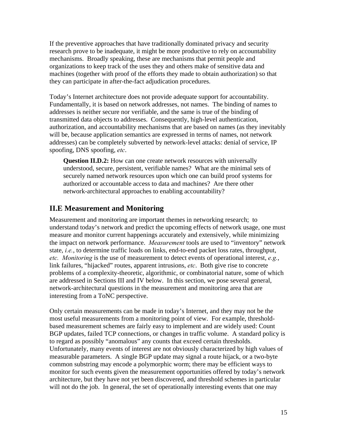If the preventive approaches that have traditionally dominated privacy and security research prove to be inadequate, it might be more productive to rely on accountability mechanisms. Broadly speaking, these are mechanisms that permit people and organizations to keep track of the uses they and others make of sensitive data and machines (together with proof of the efforts they made to obtain authorization) so that they can participate in after-the-fact adjudication procedures.

Today's Internet architecture does not provide adequate support for accountability. Fundamentally, it is based on network addresses, not names. The binding of names to addresses is neither secure nor verifiable, and the same is true of the binding of transmitted data objects to addresses. Consequently, high-level authentication, authorization, and accountability mechanisms that are based on names (as they inevitably will be, because application semantics are expressed in terms of names, not network addresses) can be completely subverted by network-level attacks: denial of service, IP spoofing, DNS spoofing, *etc*.

**Question II.D.2:** How can one create network resources with universally understood, secure, persistent, verifiable names? What are the minimal sets of securely named network resources upon which one can build proof systems for authorized or accountable access to data and machines? Are there other network-architectural approaches to enabling accountability?

#### **II.E Measurement and Monitoring**

Measurement and monitoring are important themes in networking research; to understand today's network and predict the upcoming effects of network usage, one must measure and monitor current happenings accurately and extensively, while minimizing the impact on network performance. *Measurement* tools are used to "inventory" network state, *i.e.*, to determine traffic loads on links, end-to-end packet loss rates, throughput, *etc. Monitoring* is the use of measurement to detect events of operational interest, *e.g.*, link failures, "hijacked" routes, apparent intrusions, *etc*. Both give rise to concrete problems of a complexity-theoretic, algorithmic, or combinatorial nature, some of which are addressed in Sections III and IV below. In this section, we pose several general, network-architectural questions in the measurement and monitoring area that are interesting from a ToNC perspective.

Only certain measurements can be made in today's Internet, and they may not be the most useful measurements from a monitoring point of view. For example, thresholdbased measurement schemes are fairly easy to implement and are widely used: Count BGP updates, failed TCP connections, or changes in traffic volume. A standard policy is to regard as possibly "anomalous" any counts that exceed certain thresholds. Unfortunately, many events of interest are not obviously characterized by high values of measurable parameters. A single BGP update may signal a route hijack, or a two-byte common substring may encode a polymorphic worm; there may be efficient ways to monitor for such events given the measurement opportunities offered by today's network architecture, but they have not yet been discovered, and threshold schemes in particular will not do the job. In general, the set of operationally interesting events that one may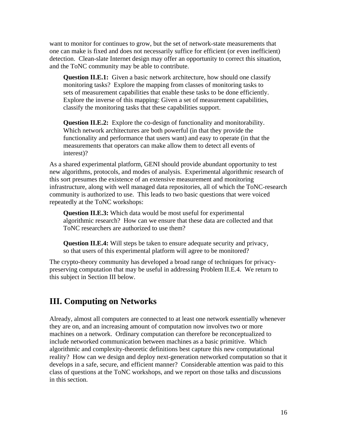want to monitor for continues to grow, but the set of network-state measurements that one can make is fixed and does not necessarily suffice for efficient (or even inefficient) detection. Clean-slate Internet design may offer an opportunity to correct this situation, and the ToNC community may be able to contribute.

**Question II.E.1:** Given a basic network architecture, how should one classify monitoring tasks? Explore the mapping from classes of monitoring tasks to sets of measurement capabilities that enable these tasks to be done efficiently. Explore the inverse of this mapping: Given a set of measurement capabilities, classify the monitoring tasks that these capabilities support.

**Question II.E.2:** Explore the co-design of functionality and monitorability. Which network architectures are both powerful (in that they provide the functionality and performance that users want) and easy to operate (in that the measurements that operators can make allow them to detect all events of interest)?

As a shared experimental platform, GENI should provide abundant opportunity to test new algorithms, protocols, and modes of analysis. Experimental algorithmic research of this sort presumes the existence of an extensive measurement and monitoring infrastructure, along with well managed data repositories, all of which the ToNC-research community is authorized to use. This leads to two basic questions that were voiced repeatedly at the ToNC workshops:

**Question II.E.3:** Which data would be most useful for experimental algorithmic research? How can we ensure that these data are collected and that ToNC researchers are authorized to use them?

**Question II.E.4:** Will steps be taken to ensure adequate security and privacy, so that users of this experimental platform will agree to be monitored?

The crypto-theory community has developed a broad range of techniques for privacypreserving computation that may be useful in addressing Problem II.E.4. We return to this subject in Section III below.

## **III. Computing on Networks**

Already, almost all computers are connected to at least one network essentially whenever they are on, and an increasing amount of computation now involves two or more machines on a network. Ordinary computation can therefore be reconceptualized to include networked communication between machines as a basic primitive. Which algorithmic and complexity-theoretic definitions best capture this new computational reality? How can we design and deploy next-generation networked computation so that it develops in a safe, secure, and efficient manner? Considerable attention was paid to this class of questions at the ToNC workshops, and we report on those talks and discussions in this section.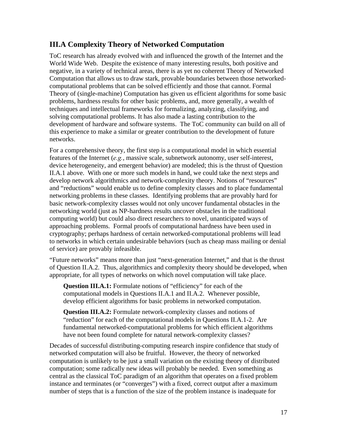## **III.A Complexity Theory of Networked Computation**

ToC research has already evolved with and influenced the growth of the Internet and the World Wide Web. Despite the existence of many interesting results, both positive and negative, in a variety of technical areas, there is as yet no coherent Theory of Networked Computation that allows us to draw stark, provable boundaries between those networkedcomputational problems that can be solved efficiently and those that cannot. Formal Theory of (single-machine) Computation has given us efficient algorithms for some basic problems, hardness results for other basic problems, and, more generally, a wealth of techniques and intellectual frameworks for formalizing, analyzing, classifying, and solving computational problems. It has also made a lasting contribution to the development of hardware and software systems. The ToC community can build on all of this experience to make a similar or greater contribution to the development of future networks.

For a comprehensive theory, the first step is a computational model in which essential features of the Internet (*e.g.*, massive scale, subnetwork autonomy, user self-interest, device heterogeneity, and emergent behavior) are modeled; this is the thrust of Question II.A.1 above. With one or more such models in hand, we could take the next steps and develop network algorithmics and network-complexity theory. Notions of "resources" and "reductions" would enable us to define complexity classes and to place fundamental networking problems in these classes. Identifying problems that are provably hard for basic network-complexity classes would not only uncover fundamental obstacles in the networking world (just as NP-hardness results uncover obstacles in the traditional computing world) but could also direct researchers to novel, unanticipated ways of approaching problems. Formal proofs of computational hardness have been used in cryptography; perhaps hardness of certain networked-computational problems will lead to networks in which certain undesirable behaviors (such as cheap mass mailing or denial of service) are provably infeasible.

"Future networks" means more than just "next-generation Internet," and that is the thrust of Question II.A.2. Thus, algorithmics and complexity theory should be developed, when appropriate, for all types of networks on which novel computation will take place.

**Question III.A.1:** Formulate notions of "efficiency" for each of the computational models in Questions II.A.1 and II.A.2. Whenever possible, develop efficient algorithms for basic problems in networked computation.

**Question III.A.2:** Formulate network-complexity classes and notions of "reduction" for each of the computational models in Questions II.A.1-2. Are fundamental networked-computational problems for which efficient algorithms have not been found complete for natural network-complexity classes?

Decades of successful distributing-computing research inspire confidence that study of networked computation will also be fruitful. However, the theory of networked computation is unlikely to be just a small variation on the existing theory of distributed computation; some radically new ideas will probably be needed. Even something as central as the classical ToC paradigm of an algorithm that operates on a fixed problem instance and terminates (or "converges") with a fixed, correct output after a maximum number of steps that is a function of the size of the problem instance is inadequate for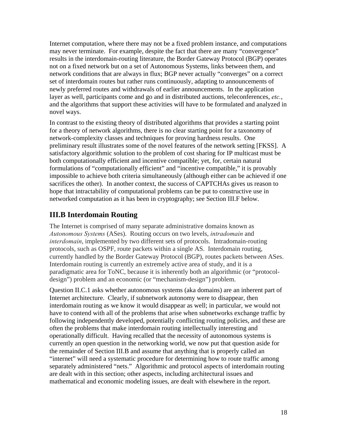Internet computation, where there may not be a fixed problem instance, and computations may never terminate. For example, despite the fact that there are many "convergence" results in the interdomain-routing literature, the Border Gateway Protocol (BGP) operates not on a fixed network but on a set of Autonomous Systems, links between them, and network conditions that are always in flux; BGP never actually "converges" on a correct set of interdomain routes but rather runs continuously, adapting to announcements of newly preferred routes and withdrawals of earlier announcements. In the application layer as well, participants come and go and in distributed auctions, teleconferences, *etc.*, and the algorithms that support these activities will have to be formulated and analyzed in novel ways.

In contrast to the existing theory of distributed algorithms that provides a starting point for a theory of network algorithms, there is no clear starting point for a taxonomy of network-complexity classes and techniques for proving hardness results. One preliminary result illustrates some of the novel features of the network setting [FKSS]. A satisfactory algorithmic solution to the problem of cost sharing for IP multicast must be both computationally efficient and incentive compatible; yet, for, certain natural formulations of "computationally efficient" and "incentive compatible," it is provably impossible to achieve both criteria simultaneously (although either can be achieved if one sacrifices the other). In another context, the success of CAPTCHAs gives us reason to hope that intractability of computational problems can be put to constructive use in networked computation as it has been in cryptography; see Section III.F below.

## **III.B Interdomain Routing**

The Internet is comprised of many separate administrative domains known as *Autonomous Systems* (ASes). Routing occurs on two levels, *intradomain* and *interdomain*, implemented by two different sets of protocols. Intradomain-routing protocols, such as OSPF, route packets within a single AS. Interdomain routing, currently handled by the Border Gateway Protocol (BGP), routes packets between ASes. Interdomain routing is currently an extremely active area of study, and it is a paradigmatic area for ToNC, because it is inherently both an algorithmic (or "protocoldesign") problem and an economic (or "mechanism-design") problem.

Question II.C.1 asks whether autonomous systems (aka domains) are an inherent part of Internet architecture. Clearly, if subnetwork autonomy were to disappear, then interdomain routing as we know it would disappear as well; in particular, we would not have to contend with all of the problems that arise when subnetworks exchange traffic by following independently developed, potentially conflicting routing policies, and these are often the problems that make interdomain routing intellectually interesting and operationally difficult. Having recalled that the necessity of autonomous systems is currently an open question in the networking world, we now put that question aside for the remainder of Section III.B and assume that anything that is properly called an "internet" will need a systematic procedure for determining how to route traffic among separately administered "nets." Algorithmic and protocol aspects of interdomain routing are dealt with in this section; other aspects, including architectural issues and mathematical and economic modeling issues, are dealt with elsewhere in the report.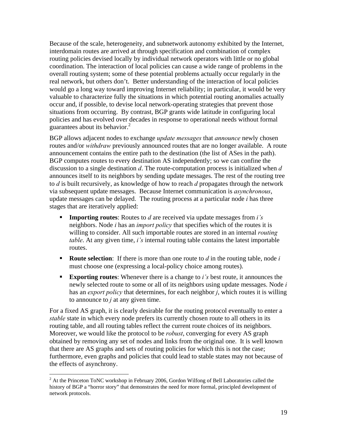Because of the scale, heterogeneity, and subnetwork autonomy exhibited by the Internet, interdomain routes are arrived at through specification and combination of complex routing policies devised locally by individual network operators with little or no global coordination. The interaction of local policies can cause a wide range of problems in the overall routing system; some of these potential problems actually occur regularly in the real network, but others don't. Better understanding of the interaction of local policies would go a long way toward improving Internet reliability; in particular, it would be very valuable to characterize fully the situations in which potential routing anomalies actually occur and, if possible, to devise local network-operating strategies that prevent those situations from occurring. By contrast, BGP grants wide latitude in configuring local policies and has evolved over decades in response to operational needs without formal guarantees about its behavior. $<sup>2</sup>$ </sup>

BGP allows adjacent nodes to exchange *update messages* that *announce* newly chosen routes and/or *withdraw* previously announced routes that are no longer available. A route announcement contains the entire path to the destination (the list of ASes in the path). BGP computes routes to every destination AS independently; so we can confine the discussion to a single destination *d*. The route-computation process is initialized when *d* announces itself to its neighbors by sending update messages. The rest of the routing tree to *d* is built recursively, as knowledge of how to reach *d* propagates through the network via subsequent update messages. Because Internet communication is *asynchronous*, update messages can be delayed. The routing process at a particular node *i* has three stages that are iteratively applied:

- **Importing routes**: Routes to *d* are received via update messages from *i's* neighbors. Node *i* has an *import policy* that specifies which of the routes it is willing to consider. All such importable routes are stored in an internal *routing table*. At any given time, *i's* internal routing table contains the latest importable routes.
- **Route selection**: If there is more than one route to *d* in the routing table, node *i* must choose one (expressing a local-policy choice among routes).
- **Exporting routes**: Whenever there is a change to *i's* best route, it announces the newly selected route to some or all of its neighbors using update messages. Node *i* has an *export policy* that determines, for each neighbor *j*, which routes it is willing to announce to *j* at any given time.

For a fixed AS graph, it is clearly desirable for the routing protocol eventually to enter a *stable* state in which every node prefers its currently chosen route to all others in its routing table, and all routing tables reflect the current route choices of its neighbors. Moreover, we would like the protocol to be *robust*, converging for every AS graph obtained by removing any set of nodes and links from the original one. It is well known that there are AS graphs and sets of routing policies for which this is not the case; furthermore, even graphs and policies that could lead to stable states may not because of the effects of asynchrony.

 $\overline{a}$ 

 $2^2$  At the Princeton ToNC workshop in February 2006, Gordon Wilfong of Bell Laboratories called the history of BGP a "horror story" that demonstrates the need for more formal, principled development of network protocols.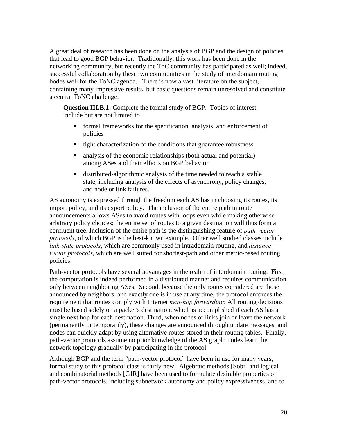A great deal of research has been done on the analysis of BGP and the design of policies that lead to good BGP behavior. Traditionally, this work has been done in the networking community, but recently the ToC community has participated as well; indeed, successful collaboration by these two communities in the study of interdomain routing bodes well for the ToNC agenda. There is now a vast literature on the subject, containing many impressive results, but basic questions remain unresolved and constitute a central ToNC challenge.

**Question III.B.1:** Complete the formal study of BGP. Topics of interest include but are not limited to

- formal frameworks for the specification, analysis, and enforcement of policies
- $\blacksquare$  tight characterization of the conditions that guarantee robustness
- analysis of the economic relationships (both actual and potential) among ASes and their effects on BGP behavior
- distributed-algorithmic analysis of the time needed to reach a stable state, including analysis of the effects of asynchrony, policy changes, and node or link failures.

AS autonomy is expressed through the freedom each AS has in choosing its routes, its import policy, and its export policy. The inclusion of the entire path in route announcements allows ASes to avoid routes with loops even while making otherwise arbitrary policy choices; the entire set of routes to a given destination will thus form a confluent tree. Inclusion of the entire path is the distinguishing feature of *path-vector protocols*, of which BGP is the best-known example. Other well studied classes include *link-state protocols*, which are commonly used in intradomain routing, and *distancevector protocols*, which are well suited for shortest-path and other metric-based routing policies.

Path-vector protocols have several advantages in the realm of interdomain routing. First, the computation is indeed performed in a distributed manner and requires communication only between neighboring ASes. Second, because the only routes considered are those announced by neighbors, and exactly one is in use at any time, the protocol enforces the requirement that routes comply with Internet *next-hop forwarding*: All routing decisions must be based solely on a packet's destination, which is accomplished if each AS has a single next hop for each destination. Third, when nodes or links join or leave the network (permanently or temporarily), these changes are announced through update messages, and nodes can quickly adapt by using alternative routes stored in their routing tables. Finally, path-vector protocols assume no prior knowledge of the AS graph; nodes learn the network topology gradually by participating in the protocol.

Although BGP and the term "path-vector protocol" have been in use for many years, formal study of this protocol class is fairly new. Algebraic methods [Sobr] and logical and combinatorial methods [GJR] have been used to formulate desirable properties of path-vector protocols, including subnetwork autonomy and policy expressiveness, and to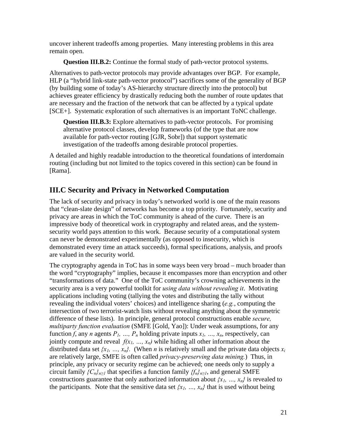uncover inherent tradeoffs among properties. Many interesting problems in this area remain open.

**Question III.B.2:** Continue the formal study of path-vector protocol systems.

Alternatives to path-vector protocols may provide advantages over BGP. For example, HLP (a "hybrid link-state path-vector protocol") sacrifices some of the generality of BGP (by building some of today's AS-hierarchy structure directly into the protocol) but achieves greater efficiency by drastically reducing both the number of route updates that are necessary and the fraction of the network that can be affected by a typical update [SCE+]. Systematic exploration of such alternatives is an important ToNC challenge.

**Question III.B.3:** Explore alternatives to path-vector protocols. For promising alternative protocol classes, develop frameworks (of the type that are now available for path-vector routing [GJR, Sobr]) that support systematic investigation of the tradeoffs among desirable protocol properties.

A detailed and highly readable introduction to the theoretical foundations of interdomain routing (including but not limited to the topics covered in this section) can be found in [Rama].

## **III.C Security and Privacy in Networked Computation**

The lack of security and privacy in today's networked world is one of the main reasons that "clean-slate design" of networks has become a top priority. Fortunately, security and privacy are areas in which the ToC community is ahead of the curve. There is an impressive body of theoretical work in cryptography and related areas, and the systemsecurity world pays attention to this work. Because security of a computational system can never be demonstrated experimentally (as opposed to insecurity, which is demonstrated every time an attack succeeds), formal specifications, analysis, and proofs are valued in the security world.

The cryptography agenda in ToC has in some ways been very broad – much broader than the word "cryptography" implies, because it encompasses more than encryption and other "transformations of data." One of the ToC community's crowning achievements in the security area is a very powerful toolkit for *using data without revealing it*. Motivating applications including voting (tallying the votes and distributing the tally without revealing the individual voters' choices) and intelligence sharing (*e.g.*, computing the intersection of two terrorist-watch lists without revealing anything about the symmetric difference of these lists). In principle, general protocol constructions enable *secure, multiparty function evaluation* (SMFE [Gold, Yao]): Under weak assumptions, for any function *f*, any *n* agents  $P_1$ , ...,  $P_n$  holding private inputs  $x_1$ , ...,  $x_n$ , respectively, can jointly compute and reveal  $f(x_1, ..., x_n)$  while hiding all other information about the distributed data set  $\{x_1, ..., x_n\}$ . (When *n* is relatively small and the private data objects  $x_i$ are relatively large, SMFE is often called *privacy-preserving data mining.*) Thus, in principle, any privacy or security regime can be achieved; one needs only to supply a circuit family  ${C_n}_{n \geq 1}$  that specifies a function family  ${f_n}_{n \geq 1}$ , and general SMFE constructions guarantee that only authorized information about  $\{x_1, ..., x_n\}$  is revealed to the participants. Note that the sensitive data set  $\{x_1, \ldots, x_n\}$  that is used without being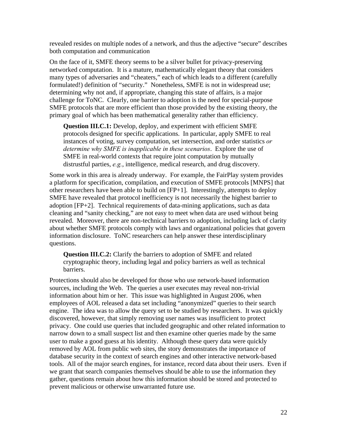revealed resides on multiple nodes of a network, and thus the adjective "secure" describes both computation and communication

On the face of it, SMFE theory seems to be a silver bullet for privacy-preserving networked computation. It is a mature, mathematically elegant theory that considers many types of adversaries and "cheaters," each of which leads to a different (carefully formulated!) definition of "security." Nonetheless, SMFE is not in widespread use; determining why not and, if appropriate, changing this state of affairs, is a major challenge for ToNC. Clearly, one barrier to adoption is the need for special-purpose SMFE protocols that are more efficient than those provided by the existing theory, the primary goal of which has been mathematical generality rather than efficiency.

**Question III.C.1:** Develop, deploy, and experiment with efficient SMFE protocols designed for specific applications. In particular, apply SMFE to real instances of voting, survey computation, set intersection, and order statistics *or determine why SMFE is inapplicable in these scenarios*. Explore the use of SMFE in real-world contexts that require joint computation by mutually distrustful parties, *e.g.*, intelligence, medical research, and drug discovery.

Some work in this area is already underway. For example, the FairPlay system provides a platform for specification, compilation, and execution of SMFE protocols [MNPS] that other researchers have been able to build on [FP+1]. Interestingly, attempts to deploy SMFE have revealed that protocol inefficiency is not necessarily the highest barrier to adoption [FP+2]. Technical requirements of data-mining applications, such as data cleaning and "sanity checking," are not easy to meet when data are used without being revealed. Moreover, there are non-technical barriers to adoption, including lack of clarity about whether SMFE protocols comply with laws and organizational policies that govern information disclosure. ToNC researchers can help answer these interdisciplinary questions.

**Question III.C.2:** Clarify the barriers to adoption of SMFE and related cryptographic theory, including legal and policy barriers as well as technical barriers.

Protections should also be developed for those who use network-based information sources, including the Web. The queries a user executes may reveal non-trivial information about him or her. This issue was highlighted in August 2006, when employees of AOL released a data set including "anonymized" queries to their search engine. The idea was to allow the query set to be studied by researchers. It was quickly discovered, however, that simply removing user names was insufficient to protect privacy. One could use queries that included geographic and other related information to narrow down to a small suspect list and then examine other queries made by the same user to make a good guess at his identity. Although these query data were quickly removed by AOL from public web sites, the story demonstrates the importance of database security in the context of search engines and other interactive network-based tools. All of the major search engines, for instance, record data about their users. Even if we grant that search companies themselves should be able to use the information they gather, questions remain about how this information should be stored and protected to prevent malicious or otherwise unwarranted future use.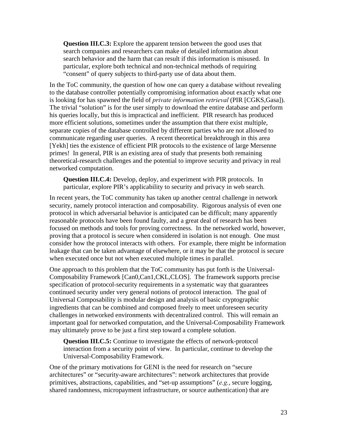**Question III.C.3:** Explore the apparent tension between the good uses that search companies and researchers can make of detailed information about search behavior and the harm that can result if this information is misused. In particular, explore both technical and non-technical methods of requiring "consent" of query subjects to third-party use of data about them.

In the ToC community, the question of how one can query a database without revealing to the database controller potentially compromising information about exactly what one is looking for has spawned the field of *private information retrieval* (PIR [CGKS,Gasa]). The trivial "solution" is for the user simply to download the entire database and perform his queries locally, but this is impractical and inefficient. PIR research has produced more efficient solutions, sometimes under the assumption that there exist multiple, separate copies of the database controlled by different parties who are not allowed to communicate regarding user queries. A recent theoretical breakthrough in this area [Yekh] ties the existence of efficient PIR protocols to the existence of large Mersenne primes! In general, PIR is an existing area of study that presents both remaining theoretical-research challenges and the potential to improve security and privacy in real networked computation.

**Question III.C.4:** Develop, deploy, and experiment with PIR protocols. In particular, explore PIR's applicability to security and privacy in web search.

In recent years, the ToC community has taken up another central challenge in network security, namely protocol interaction and composability. Rigorous analysis of even one protocol in which adversarial behavior is anticipated can be difficult; many apparently reasonable protocols have been found faulty, and a great deal of research has been focused on methods and tools for proving correctness. In the networked world, however, proving that a protocol is secure when considered in isolation is not enough. One must consider how the protocol interacts with others. For example, there might be information leakage that can be taken advantage of elsewhere, or it may be that the protocol is secure when executed once but not when executed multiple times in parallel.

One approach to this problem that the ToC community has put forth is the Universal-Composability Framework [Can0,Can1,CKL,CLOS]. The framework supports precise specification of protocol-security requirements in a systematic way that guarantees continued security under very general notions of protocol interaction. The goal of Universal Composability is modular design and analysis of basic cryptographic ingredients that can be combined and composed freely to meet unforeseen security challenges in networked environments with decentralized control. This will remain an important goal for networked computation, and the Universal-Composability Framework may ultimately prove to be just a first step toward a complete solution.

**Question III.C.5:** Continue to investigate the effects of network-protocol interaction from a security point of view. In particular, continue to develop the Universal-Composability Framework.

One of the primary motivations for GENI is the need for research on "secure architectures" or "security-aware architectures": network architectures that provide primitives, abstractions, capabilities, and "set-up assumptions" (*e.g.*, secure logging, shared randomness, micropayment infrastructure, or source authentication) that are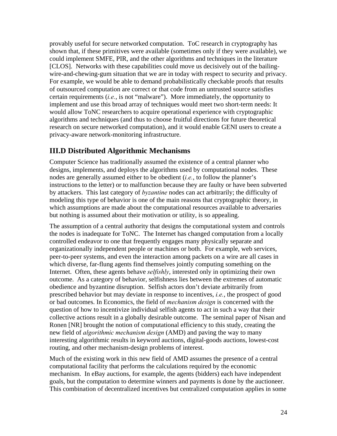provably useful for secure networked computation. ToC research in cryptography has shown that, if these primitives were available (sometimes only if they were available), we could implement SMFE, PIR, and the other algorithms and techniques in the literature [CLOS]. Networks with these capabilities could move us decisively out of the bailingwire-and-chewing-gum situation that we are in today with respect to security and privacy. For example, we would be able to demand probabilistically checkable proofs that results of outsourced computation are correct or that code from an untrusted source satisfies certain requirements (*i.e.*, is not "malware"). More immediately, the opportunity to implement and use this broad array of techniques would meet two short-term needs: It would allow ToNC researchers to acquire operational experience with cryptographic algorithms and techniques (and thus to choose fruitful directions for future theoretical research on secure networked computation), and it would enable GENI users to create a privacy-aware network-monitoring infrastructure.

## **III.D Distributed Algorithmic Mechanisms**

Computer Science has traditionally assumed the existence of a central planner who designs, implements, and deploys the algorithms used by computational nodes. These nodes are generally assumed either to be obedient (*i.e.*, to follow the planner's instructions to the letter) or to malfunction because they are faulty or have been subverted by attackers. This last category of *byzantine* nodes can act arbitrarily; the difficulty of modeling this type of behavior is one of the main reasons that cryptographic theory, in which assumptions are made about the computational resources available to adversaries but nothing is assumed about their motivation or utility, is so appealing.

The assumption of a central authority that designs the computational system and controls the nodes is inadequate for ToNC. The Internet has changed computation from a locally controlled endeavor to one that frequently engages many physically separate and organizationally independent people or machines or both. For example, web services, peer-to-peer systems, and even the interaction among packets on a wire are all cases in which diverse, far-flung agents find themselves jointly computing something on the Internet. Often, these agents behave *selfishly*, interested only in optimizing their own outcome. As a category of behavior, selfishness lies between the extremes of automatic obedience and byzantine disruption. Selfish actors don't deviate arbitrarily from prescribed behavior but may deviate in response to incentives, *i.e.*, the prospect of good or bad outcomes. In Economics, the field of *mechanism design* is concerned with the question of how to incentivize individual selfish agents to act in such a way that their collective actions result in a globally desirable outcome. The seminal paper of Nisan and Ronen [NR] brought the notion of computational efficiency to this study, creating the new field of *algorithmic mechanism design* (AMD) and paving the way to many interesting algorithmic results in keyword auctions, digital-goods auctions, lowest-cost routing, and other mechanism-design problems of interest.

Much of the existing work in this new field of AMD assumes the presence of a central computational facility that performs the calculations required by the economic mechanism. In eBay auctions, for example, the agents (bidders) each have independent goals, but the computation to determine winners and payments is done by the auctioneer. This combination of decentralized incentives but centralized computation applies in some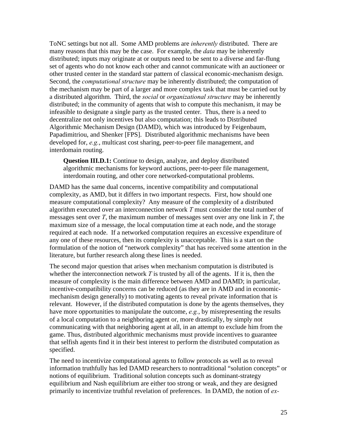ToNC settings but not all. Some AMD problems are *inherently* distributed. There are many reasons that this may be the case. For example, the *data* may be inherently distributed; inputs may originate at or outputs need to be sent to a diverse and far-flung set of agents who do not know each other and cannot communicate with an auctioneer or other trusted center in the standard star pattern of classical economic-mechanism design. Second, the *computational structure* may be inherently distributed; the computation of the mechanism may be part of a larger and more complex task that must be carried out by a distributed algorithm. Third, the *social* or *organizational structure* may be inherently distributed; in the community of agents that wish to compute this mechanism, it may be infeasible to designate a single party as the trusted center. Thus, there is a need to decentralize not only incentives but also computation; this leads to Distributed Algorithmic Mechanism Design (DAMD), which was introduced by Feigenbaum, Papadimitriou, and Shenker [FPS]. Distributed algorithmic mechanisms have been developed for, *e.g.*, multicast cost sharing, peer-to-peer file management, and interdomain routing.

**Question III.D.1:** Continue to design, analyze, and deploy distributed algorithmic mechanisms for keyword auctions, peer-to-peer file management, interdomain routing, and other core networked-computational problems.

DAMD has the same dual concerns, incentive compatibility and computational complexity, as AMD, but it differs in two important respects. First, how should one measure computational complexity? Any measure of the complexity of a distributed algorithm executed over an interconnection network *T* must consider the total number of messages sent over *T*, the maximum number of messages sent over any one link in *T*, the maximum size of a message, the local computation time at each node, and the storage required at each node. If a networked computation requires an excessive expenditure of any one of these resources, then its complexity is unacceptable. This is a start on the formulation of the notion of "network complexity" that has received some attention in the literature, but further research along these lines is needed.

The second major question that arises when mechanism computation is distributed is whether the interconnection network *T* is trusted by all of the agents. If it is, then the measure of complexity is the main difference between AMD and DAMD; in particular, incentive-compatibility concerns can be reduced (as they are in AMD and in economicmechanism design generally) to motivating agents to reveal private information that is relevant. However, if the distributed computation is done by the agents themselves, they have more opportunities to manipulate the outcome, *e.g.*, by misrepresenting the results of a local computation to a neighboring agent or, more drastically, by simply not communicating with that neighboring agent at all, in an attempt to exclude him from the game. Thus, distributed algorithmic mechanisms must provide incentives to guarantee that selfish agents find it in their best interest to perform the distributed computation as specified.

The need to incentivize computational agents to follow protocols as well as to reveal information truthfully has led DAMD researchers to nontraditional "solution concepts" or notions of equilibrium. Traditional solution concepts such as dominant-strategy equilibrium and Nash equilibrium are either too strong or weak, and they are designed primarily to incentivize truthful revelation of preferences. In DAMD, the notion of *ex-*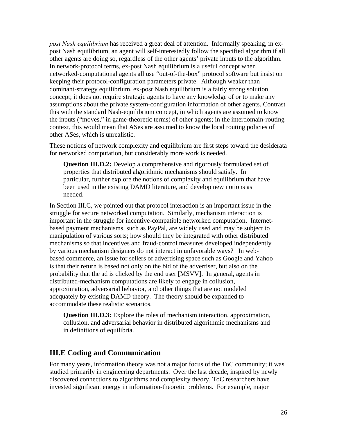*post Nash equilibrium* has received a great deal of attention. Informally speaking, in expost Nash equilibrium, an agent will self-interestedly follow the specified algorithm if all other agents are doing so, regardless of the other agents' private inputs to the algorithm. In network-protocol terms, ex-post Nash equilibrium is a useful concept when networked-computational agents all use "out-of-the-box" protocol software but insist on keeping their protocol-configuration parameters private. Although weaker than dominant-strategy equilibrium, ex-post Nash equilibrium is a fairly strong solution concept; it does not require strategic agents to have any knowledge of or to make any assumptions about the private system-configuration information of other agents. Contrast this with the standard Nash-equilibrium concept, in which agents are assumed to know the inputs ("moves," in game-theoretic terms) of other agents; in the interdomain-routing context, this would mean that ASes are assumed to know the local routing policies of other ASes, which is unrealistic.

These notions of network complexity and equilibrium are first steps toward the desiderata for networked computation, but considerably more work is needed.

**Question III.D.2:** Develop a comprehensive and rigorously formulated set of properties that distributed algorithmic mechanisms should satisfy. In particular, further explore the notions of complexity and equilibrium that have been used in the existing DAMD literature, and develop new notions as needed.

In Section III.C, we pointed out that protocol interaction is an important issue in the struggle for secure networked computation. Similarly, mechanism interaction is important in the struggle for incentive-compatible networked computation. Internetbased payment mechanisms, such as PayPal, are widely used and may be subject to manipulation of various sorts; how should they be integrated with other distributed mechanisms so that incentives and fraud-control measures developed independently by various mechanism designers do not interact in unfavorable ways? In webbased commerce, an issue for sellers of advertising space such as Google and Yahoo is that their return is based not only on the bid of the advertiser, but also on the probability that the ad is clicked by the end user [MSVV]. In general, agents in distributed-mechanism computations are likely to engage in collusion, approximation, adversarial behavior, and other things that are not modeled adequately by existing DAMD theory. The theory should be expanded to accommodate these realistic scenarios.

**Question III.D.3:** Explore the roles of mechanism interaction, approximation, collusion, and adversarial behavior in distributed algorithmic mechanisms and in definitions of equilibria.

### **III.E Coding and Communication**

For many years, information theory was not a major focus of the ToC community; it was studied primarily in engineering departments. Over the last decade, inspired by newly discovered connections to algorithms and complexity theory, ToC researchers have invested significant energy in information-theoretic problems. For example, major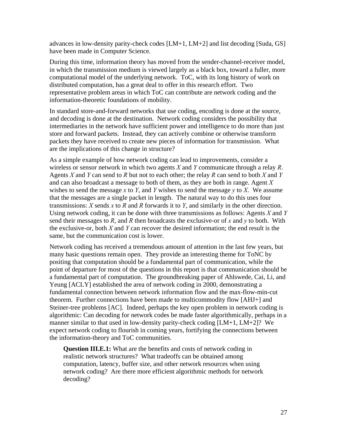advances in low-density parity-check codes [LM+1, LM+2] and list decoding [Suda, GS] have been made in Computer Science.

During this time, information theory has moved from the sender-channel-receiver model, in which the transmission medium is viewed largely as a black box, toward a fuller, more computational model of the underlying network. ToC, with its long history of work on distributed computation, has a great deal to offer in this research effort. Two representative problem areas in which ToC can contribute are network coding and the information-theoretic foundations of mobility.

In standard store-and-forward networks that use coding, encoding is done at the source, and decoding is done at the destination. Network coding considers the possibility that intermediaries in the network have sufficient power and intelligence to do more than just store and forward packets. Instead, they can actively combine or otherwise transform packets they have received to create new pieces of information for transmission. What are the implications of this change in structure?

As a simple example of how network coding can lead to improvements, consider a wireless or sensor network in which two agents *X* and *Y* communicate through a relay *R*. Agents *X* and *Y* can send to *R* but not to each other; the relay *R* can send to both *X* and *Y* and can also broadcast a message to both of them, as they are both in range. Agent *X* wishes to send the message *x* to *Y*, and *Y* wishes to send the message  $\gamma$  to *X*. We assume that the messages are a single packet in length. The natural way to do this uses four transmissions: *X* sends *x* to *R* and *R* forwards it to *Y*, and similarly in the other direction. Using network coding, it can be done with three transmissions as follows: Agents *X* and *Y* send their messages to *R*, and *R* then broadcasts the exclusive-or of *x* and *y* to both. With the exclusive-or, both *X* and *Y* can recover the desired information; the end result is the same, but the communication cost is lower.

Network coding has received a tremendous amount of attention in the last few years, but many basic questions remain open. They provide an interesting theme for ToNC by positing that computation should be a fundamental part of communication, while the point of departure for most of the questions in this report is that communication should be a fundamental part of computation. The groundbreaking paper of Ahlswede, Cai, Li, and Yeung [ACLY] established the area of network coding in 2000, demonstrating a fundamental connection between network information flow and the max-flow-min-cut theorem. Further connections have been made to multicommodity flow [AHJ+] and Steiner-tree problems [AC]. Indeed, perhaps the key open problem in network coding is algorithmic: Can decoding for network codes be made faster algorithmically, perhaps in a manner similar to that used in low-density parity-check coding [LM+1, LM+2]? We expect network coding to flourish in coming years, fortifying the connections between the information-theory and ToC communities.

**Question III.E.1:** What are the benefits and costs of network coding in realistic network structures? What tradeoffs can be obtained among computation, latency, buffer size, and other network resources when using network coding? Are there more efficient algorithmic methods for network decoding?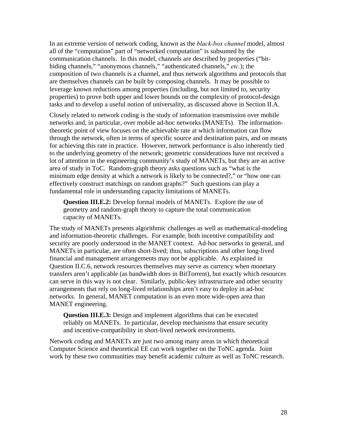In an extreme version of network coding, known as the *black-box channel* model, almost all of the "computation" part of "networked computation" is subsumed by the communication channels. In this model, channels are described by properties ("bithiding channels," "anonymous channels," "authenticated channels," *etc.*); the composition of two channels is a channel, and thus network algorithms and protocols that are themselves channels can be built by composing channels. It may be possible to leverage known reductions among properties (including, but not limited to, security properties) to prove both upper and lower bounds on the complexity of protocol-design tasks and to develop a useful notion of universality, as discussed above in Section II.A.

Closely related to network coding is the study of information transmission over mobile networks and, in particular, over mobile ad-hoc networks (MANETs). The informationtheoretic point of view focuses on the achievable rate at which information can flow through the network, often in terms of specific source and destination pairs, and on means for achieving this rate in practice. However, network performance is also inherently tied to the underlying geometry of the network; geometric considerations have not received a lot of attention in the engineering community's study of MANETs, but they are an active area of study in ToC. Random-graph theory asks questions such as "what is the minimum edge density at which a network is likely to be connected?," or "how one can effectively construct matchings on random graphs?" Such questions can play a fundamental role in understanding capacity limitations of MANETs.

**Question III.E.2:** Develop formal models of MANETs. Explore the use of geometry and random-graph theory to capture the total communication capacity of MANETs.

The study of MANETs presents algorithmic challenges as well as mathematical-modeling and information-theoretic challenges. For example, both incentive compatibility and security are poorly understood in the MANET context. Ad-hoc networks in general, and MANETs in particular, are often short-lived; thus, subscriptions and other long-lived financial and management arrangements may not be applicable. As explained in Question II.C.6, network resources themselves may serve as currency when monetary transfers aren't applicable (as bandwidth does in BitTorrent), but exactly which resources can serve in this way is not clear. Similarly, public-key infrastructure and other security arrangements that rely on long-lived relationships aren't easy to deploy in ad-hoc networks. In general, MANET computation is an even more wide-open area than MANET engineering.

**Question III.E.3:** Design and implement algorithms that can be executed reliably on MANETs. In particular, develop mechanisms that ensure security and incentive-compatibility in short-lived network environments.

Network coding and MANETs are just two among many areas in which theoretical Computer Science and theoretical EE can work together on the ToNC agenda. Joint work by these two communities may benefit academic culture as well as ToNC research.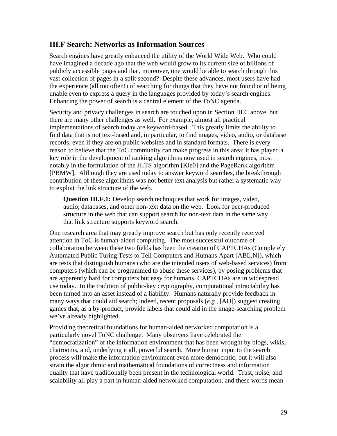#### **III.F Search: Networks as Information Sources**

Search engines have greatly enhanced the utility of the World Wide Web. Who could have imagined a decade ago that the web would grow to its current size of billions of publicly accessible pages and that, moreover, one would be able to search through this vast collection of pages in a split second? Despite these advances, most users have had the experience (all too often!) of searching for things that they have not found or of being unable even to express a query in the languages provided by today's search engines. Enhancing the power of search is a central element of the ToNC agenda.

Security and privacy challenges in search are touched upon in Section III.C above, but there are many other challenges as well. For example, almost all practical implementations of search today are keyword-based. This greatly limits the ability to find data that is not text-based and, in particular, to find images, video, audio, or database records, even if they are on public websites and in standard formats. There is every reason to believe that the ToC community can make progress in this area; it has played a key role in the development of ranking algorithms now used in search engines, most notably in the formulation of the HITS algorithm [Kle0] and the PageRank algorithm [PBMW]. Although they are used today to answer keyword searches, the breakthrough contribution of these algorithms was not better text analysis but rather a systematic way to exploit the link structure of the web.

**Question III.F.1:** Develop search techniques that work for images, video, audio, databases, and other non-text data on the web. Look for peer-produced structure in the web that can support search for non-text data in the same way that link structure supports keyword search.

One research area that may greatly improve search but has only recently received attention in ToC is human-aided computing. The most successful outcome of collaboration between these two fields has been the creation of CAPTCHAs (Completely Automated Public Turing Tests to Tell Computers and Humans Apart [ABL,N]), which are tests that distinguish humans (who are the intended users of web-based services) from computers (which can be programmed to abuse these services), by posing problems that are apparently hard for computers but easy for humans. CAPTCHAs are in widespread use today. In the tradition of public-key cryptography, computational intractability has been turned into an asset instead of a liability. Humans naturally provide feedback in many ways that could aid search; indeed, recent proposals (*e.g.*, [AD]) suggest creating games that, as a by-product, provide labels that could aid in the image-searching problem we've already highlighted.

Providing theoretical foundations for human-aided networked computation is a particularly novel ToNC challenge. Many observers have celebrated the "democratization" of the information environment that has been wrought by blogs, wikis, chatrooms, and, underlying it all, powerful search. More human input to the search process will make the information environment even more democratic, but it will also strain the algorithmic and mathematical foundations of correctness and information quality that have traditionally been present in the technological world.Trust, noise, and scalability all play a part in human-aided networked computation, and these words mean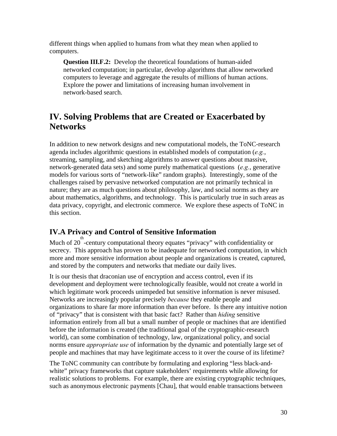different things when applied to humans from what they mean when applied to computers.

**Question III.F.2:** Develop the theoretical foundations of human-aided networked computation; in particular, develop algorithms that allow networked computers to leverage and aggregate the results of millions of human actions. Explore the power and limitations of increasing human involvement in network-based search.

## **IV. Solving Problems that are Created or Exacerbated by Networks**

In addition to new network designs and new computational models, the ToNC-research agenda includes algorithmic questions in established models of computation (*e.g.*, streaming, sampling, and sketching algorithms to answer questions about massive, network-generated data sets) and some purely mathematical questions (*e.g.*, generative models for various sorts of "network-like" random graphs). Interestingly, some of the challenges raised by pervasive networked computation are not primarily technical in nature; they are as much questions about philosophy, law, and social norms as they are about mathematics, algorithms, and technology. This is particularly true in such areas as data privacy, copyright, and electronic commerce. We explore these aspects of ToNC in this section.

## **IV.A Privacy and Control of Sensitive Information**

Much of 20 -century computational theory equates "privacy" with confidentiality or secrecy. This approach has proven to be inadequate for networked computation, in which more and more sensitive information about people and organizations is created, captured, and stored by the computers and networks that mediate our daily lives.

It is our thesis that draconian use of encryption and access control, even if its development and deployment were technologically feasible, would not create a world in which legitimate work proceeds unimpeded but sensitive information is never misused. Networks are increasingly popular precisely *because* they enable people and organizations to share far more information than ever before. Is there any intuitive notion of "privacy" that is consistent with that basic fact? Rather than *hiding* sensitive information entirely from all but a small number of people or machines that are identified before the information is created (the traditional goal of the cryptographic-research world), can some combination of technology, law, organizational policy, and social norms ensure *appropriate use* of information by the dynamic and potentially large set of people and machines that may have legitimate access to it over the course of its lifetime?

The ToNC community can contribute by formulating and exploring "less black-andwhite" privacy frameworks that capture stakeholders' requirements while allowing for realistic solutions to problems. For example, there are existing cryptographic techniques, such as anonymous electronic payments [Chau], that would enable transactions between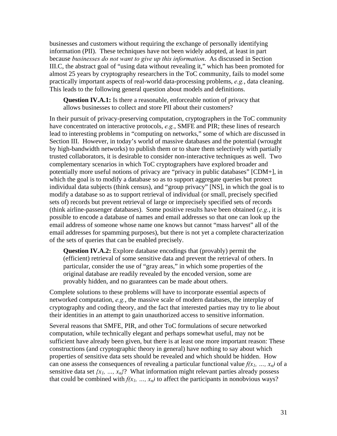businesses and customers without requiring the exchange of personally identifying information (PII). These techniques have not been widely adopted, at least in part because *businesses do not want to give up this information*. As discussed in Section III.C, the abstract goal of "using data without revealing it," which has been promoted for almost 25 years by cryptography researchers in the ToC community, fails to model some practically important aspects of real-world data-processing problems, *e.g.*, data cleaning. This leads to the following general question about models and definitions.

**Question IV.A.1:** Is there a reasonable, enforceable notion of privacy that allows businesses to collect and store PII about their customers?

In their pursuit of privacy-preserving computation, cryptographers in the ToC community have concentrated on interactive protocols, *e.g.*, SMFE and PIR; these lines of research lead to interesting problems in "computing on networks," some of which are discussed in Section III. However, in today's world of massive databases and the potential (wrought by high-bandwidth networks) to publish them or to share them selectively with partially trusted collaborators, it is desirable to consider non-interactive techniques as well. Two complementary scenarios in which ToC cryptographers have explored broader and potentially more useful notions of privacy are "privacy in public databases" [CDM+], in which the goal is to modify a database so as to support aggregate queries but protect individual data subjects (think census), and "group privacy" [NS], in which the goal is to modify a database so as to support retrieval of individual (or small, precisely specified sets of) records but prevent retrieval of large or imprecisely specified sets of records (think airline-passenger databases). Some positive results have been obtained (*e.g.*, it is possible to encode a database of names and email addresses so that one can look up the email address of someone whose name one knows but cannot "mass harvest" all of the email addresses for spamming purposes), but there is not yet a complete characterization of the sets of queries that can be enabled precisely.

**Question IV.A.2:** Explore database encodings that (provably) permit the (efficient) retrieval of some sensitive data and prevent the retrieval of others. In particular, consider the use of "gray areas," in which some properties of the original database are readily revealed by the encoded version, some are provably hidden, and no guarantees can be made about others.

Complete solutions to these problems will have to incorporate essential aspects of networked computation, *e.g.*, the massive scale of modern databases, the interplay of cryptography and coding theory, and the fact that interested parties may try to lie about their identities in an attempt to gain unauthorized access to sensitive information.

Several reasons that SMFE, PIR, and other ToC formulations of secure networked computation, while technically elegant and perhaps somewhat useful, may not be sufficient have already been given, but there is at least one more important reason: These constructions (and cryptographic theory in general) have nothing to say about which properties of sensitive data sets should be revealed and which should be hidden. How can one assess the consequences of revealing a particular functional value  $f(x_1, ..., x_n)$  of a sensitive data set  $\{x_1, ..., x_n\}$ ? What information might relevant parties already possess that could be combined with  $f(x_1, ..., x_n)$  to affect the participants in nonobvious ways?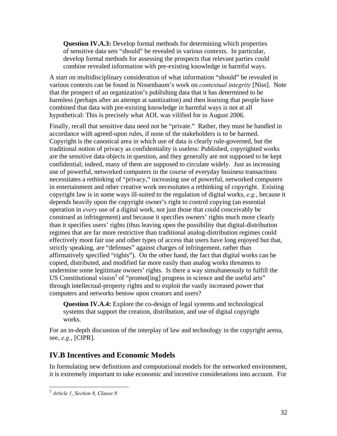**Question IV.A.3:** Develop formal methods for determining which properties of sensitive data sets "should" be revealed in various contexts. In particular, develop formal methods for assessing the prospects that relevant parties could combine revealed information with pre-existing knowledge in harmful ways.

A start on multidisciplinary consideration of what information "should" be revealed in various contexts can be found in Nissenbaum's work on *contextual integrity* [Niss]. Note that the prospect of an organization's publishing data that it has determined to be harmless (perhaps after an attempt at sanitization) and then learning that people have combined that data with pre-existing knowledge in harmful ways is not at all hypothetical: This is precisely what AOL was vilified for in August 2006.

Finally, recall that sensitive data need not be "private." Rather, they must be handled in accordance with agreed-upon rules, if none of the stakeholders is to be harmed. Copyright is the canonical area in which use of data is clearly rule-governed, but the traditional notion of privacy as confidentiality is useless: Published, copyrighted works are the sensitive data objects in question, and they generally are not supposed to be kept confidential; indeed, many of them are supposed to circulate widely. Just as increasing use of powerful, networked computers in the course of everyday business transactions necessitates a rethinking of "privacy," increasing use of powerful, networked computers in entertainment and other creative work necessitates a rethinking of copyright. Existing copyright law is in some ways ill-suited to the regulation of digital works, *e.g.*, because it depends heavily upon the copyright owner's right to control copying (an essential operation in *every* use of a digital work, not just those that could conceivably be construed as infringement) and because it specifies owners' rights much more clearly than it specifies users' rights (thus leaving open the possibility that digital-distribution regimes that are far more restrictive than traditional analog-distribution regimes could effectively moot fair use and other types of access that users have long enjoyed but that, strictly speaking, are "defenses" against charges of infringement, rather than affirmatively specified "rights"). On the other hand, the fact that digital works can be copied, distributed, and modified far more easily than analog works threatens to undermine some legitimate owners' rights. Is there a way simultaneously to fulfill the US Constitutional vision<sup>3</sup> of "promot[ing] progress in science and the useful arts" through intellectual-property rights and to exploit the vastly increased power that computers and networks bestow upon creators and users?

**Question IV.A.4:** Explore the co-design of legal systems and technological systems that support the creation, distribution, and use of digital copyright works.

For an in-depth discussion of the interplay of law and technology in the copyright arena, see, *e.g.*, [CIPR].

## **IV.B Incentives and Economic Models**

In formulating new definitions and computational models for the networked environment, it is extremely important to take economic and incentive considerations into account. For

 3  *Article 1, Section 8, Clause 8*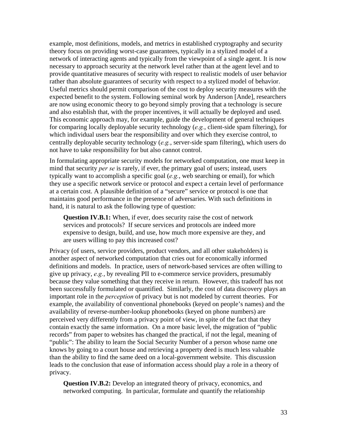example, most definitions, models, and metrics in established cryptography and security theory focus on providing worst-case guarantees, typically in a stylized model of a network of interacting agents and typically from the viewpoint of a single agent. It is now necessary to approach security at the network level rather than at the agent level and to provide quantitative measures of security with respect to realistic models of user behavior rather than absolute guarantees of security with respect to a stylized model of behavior. Useful metrics should permit comparison of the cost to deploy security measures with the expected benefit to the system. Following seminal work by Anderson [Ande], researchers are now using economic theory to go beyond simply proving that a technology is secure and also establish that, with the proper incentives, it will actually be deployed and used. This economic approach may, for example, guide the development of general techniques for comparing locally deployable security technology (*e.g.*, client-side spam filtering), for which individual users bear the responsibility and over which they exercise control, to centrally deployable security technology (*e.g.*, server-side spam filtering), which users do not have to take responsibility for but also cannot control.

In formulating appropriate security models for networked computation, one must keep in mind that security *per se* is rarely, if ever, the primary goal of users; instead, users typically want to accomplish a specific goal (*e.g.*, web searching or email), for which they use a specific network service or protocol and expect a certain level of performance at a certain cost. A plausible definition of a "secure" service or protocol is one that maintains good performance in the presence of adversaries. With such definitions in hand, it is natural to ask the following type of question:

**Question IV.B.1:** When, if ever, does security raise the cost of network services and protocols? If secure services and protocols are indeed more expensive to design, build, and use, how much more expensive are they, and are users willing to pay this increased cost?

Privacy (of users, service providers, product vendors, and all other stakeholders) is another aspect of networked computation that cries out for economically informed definitions and models. In practice, users of network-based services are often willing to give up privacy, *e.g.*, by revealing PII to e-commerce service providers, presumably because they value something that they receive in return. However, this tradeoff has not been successfully formulated or quantified. Similarly, the cost of data discovery plays an important role in the *perception* of privacy but is not modeled by current theories. For example, the availability of conventional phonebooks (keyed on people's names) and the availability of reverse-number-lookup phonebooks (keyed on phone numbers) are perceived very differently from a privacy point of view, in spite of the fact that they contain exactly the same information. On a more basic level, the migration of "public records" from paper to websites has changed the practical, if not the legal, meaning of "public": The ability to learn the Social Security Number of a person whose name one knows by going to a court house and retrieving a property deed is much less valuable than the ability to find the same deed on a local-government website. This discussion leads to the conclusion that ease of information access should play a role in a theory of privacy.

**Question IV.B.2:** Develop an integrated theory of privacy, economics, and networked computing. In particular, formulate and quantify the relationship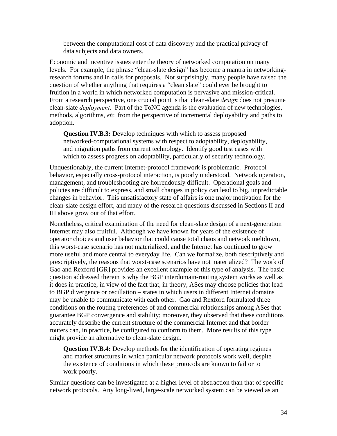between the computational cost of data discovery and the practical privacy of data subjects and data owners.

Economic and incentive issues enter the theory of networked computation on many levels. For example, the phrase "clean-slate design" has become a mantra in networkingresearch forums and in calls for proposals. Not surprisingly, many people have raised the question of whether anything that requires a "clean slate" could ever be brought to fruition in a world in which networked computation is pervasive and mission-critical. From a research perspective, one crucial point is that clean-slate *design* does not presume clean-slate *deployment*. Part of the ToNC agenda is the evaluation of new technologies, methods, algorithms, *etc.* from the perspective of incremental deployability and paths to adoption.

**Question IV.B.3:** Develop techniques with which to assess proposed networked-computational systems with respect to adoptability, deployability, and migration paths from current technology. Identify good test cases with which to assess progress on adoptability, particularly of security technology.

Unquestionably, the current Internet-protocol framework is problematic. Protocol behavior, especially cross-protocol interaction, is poorly understood. Network operation, management, and troubleshooting are horrendously difficult. Operational goals and policies are difficult to express, and small changes in policy can lead to big, unpredictable changes in behavior. This unsatisfactory state of affairs is one major motivation for the clean-slate design effort, and many of the research questions discussed in Sections II and III above grow out of that effort.

Nonetheless, critical examination of the need for clean-slate design of a next-generation Internet may also fruitful. Although we have known for years of the existence of operator choices and user behavior that could cause total chaos and network meltdown, this worst-case scenario has not materialized, and the Internet has continued to grow more useful and more central to everyday life. Can we formalize, both descriptively and prescriptively, the reasons that worst-case scenarios have not materialized? The work of Gao and Rexford [GR] provides an excellent example of this type of analysis. The basic question addressed therein is why the BGP interdomain-routing system works as well as it does in practice, in view of the fact that, in theory, ASes may choose policies that lead to BGP divergence or oscillation – states in which users in different Internet domains may be unable to communicate with each other. Gao and Rexford formulated three conditions on the routing preferences of and commercial relationships among ASes that guarantee BGP convergence and stability; moreover, they observed that these conditions accurately describe the current structure of the commercial Internet and that border routers can, in practice, be configured to conform to them. More results of this type might provide an alternative to clean-slate design.

**Question IV.B.4:** Develop methods for the identification of operating regimes and market structures in which particular network protocols work well, despite the existence of conditions in which these protocols are known to fail or to work poorly.

Similar questions can be investigated at a higher level of abstraction than that of specific network protocols. Any long-lived, large-scale networked system can be viewed as an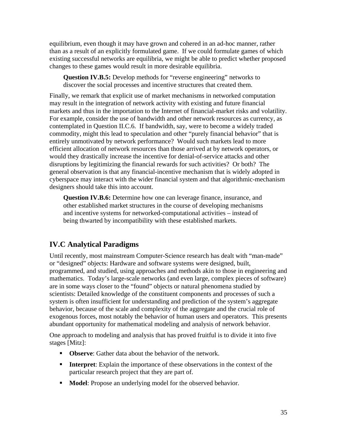equilibrium, even though it may have grown and cohered in an ad-hoc manner, rather than as a result of an explicitly formulated game. If we could formulate games of which existing successful networks are equilibria, we might be able to predict whether proposed changes to these games would result in more desirable equilibria.

**Question IV.B.5:** Develop methods for "reverse engineering" networks to discover the social processes and incentive structures that created them.

Finally, we remark that explicit use of market mechanisms in networked computation may result in the integration of network activity with existing and future financial markets and thus in the importation to the Internet of financial-market risks and volatility. For example, consider the use of bandwidth and other network resources as currency, as contemplated in Question II.C.6. If bandwidth, say, were to become a widely traded commodity, might this lead to speculation and other "purely financial behavior" that is entirely unmotivated by network performance? Would such markets lead to more efficient allocation of network resources than those arrived at by network operators, or would they drastically increase the incentive for denial-of-service attacks and other disruptions by legitimizing the financial rewards for such activities? Or both? The general observation is that any financial-incentive mechanism that is widely adopted in cyberspace may interact with the wider financial system and that algorithmic-mechanism designers should take this into account.

**Question IV.B.6:** Determine how one can leverage finance, insurance, and other established market structures in the course of developing mechanisms and incentive systems for networked-computational activities – instead of being thwarted by incompatibility with these established markets.

## **IV.C Analytical Paradigms**

Until recently, most mainstream Computer-Science research has dealt with "man-made" or "designed" objects: Hardware and software systems were designed, built, programmed, and studied, using approaches and methods akin to those in engineering and mathematics. Today's large-scale networks (and even large, complex pieces of software) are in some ways closer to the "found" objects or natural phenomena studied by scientists: Detailed knowledge of the constituent components and processes of such a system is often insufficient for understanding and prediction of the system's aggregate behavior, because of the scale and complexity of the aggregate and the crucial role of exogenous forces, most notably the behavior of human users and operators. This presents abundant opportunity for mathematical modeling and analysis of network behavior.

One approach to modeling and analysis that has proved fruitful is to divide it into five stages [Mitz]:

- **Observe:** Gather data about the behavior of the network.
- **Interpret:** Explain the importance of these observations in the context of the particular research project that they are part of.
- **Model:** Propose an underlying model for the observed behavior.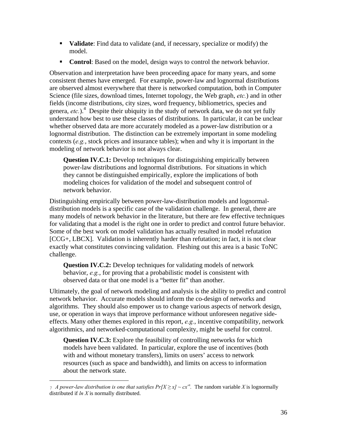- **Validate:** Find data to validate (and, if necessary, specialize or modify) the model.
- **Control:** Based on the model, design ways to control the network behavior.

Observation and interpretation have been proceeding apace for many years, and some consistent themes have emerged. For example, power-law and lognormal distributions are observed almost everywhere that there is networked computation, both in Computer Science (file sizes, download times, Internet topology, the Web graph, *etc.*) and in other fields (income distributions, city sizes, word frequency, bibliometrics, species and genera, *etc.*).<sup>4</sup> Despite their ubiquity in the study of network data, we do not yet fully understand how best to use these classes of distributions. In particular, it can be unclear whether observed data are more accurately modeled as a power-law distribution or a lognormal distribution. The distinction can be extremely important in some modeling contexts (*e.g.*, stock prices and insurance tables); when and why it is important in the modeling of network behavior is not always clear.

**Question IV.C.1:** Develop techniques for distinguishing empirically between power-law distributions and lognormal distributions. For situations in which they cannot be distinguished empirically, explore the implications of both modeling choices for validation of the model and subsequent control of network behavior.

Distinguishing empirically between power-law-distribution models and lognormaldistribution models is a specific case of the validation challenge. In general, there are many models of network behavior in the literature, but there are few effective techniques for validating that a model is the right one in order to predict and control future behavior. Some of the best work on model validation has actually resulted in model refutation [CCG+, LBCX]. Validation is inherently harder than refutation; in fact, it is not clear exactly what constitutes convincing validation. Fleshing out this area is a basic ToNC challenge.

**Question IV.C.2:** Develop techniques for validating models of network behavior, *e.g.*, for proving that a probabilistic model is consistent with observed data or that one model is a "better fit" than another.

Ultimately, the goal of network modeling and analysis is the ability to predict and control network behavior. Accurate models should inform the co-design of networks and algorithms. They should also empower us to change various aspects of network design, use, or operation in ways that improve performance without unforeseen negative sideeffects. Many other themes explored in this report, *e.g.*, incentive compatibility, network algorithmics, and networked-computational complexity, might be useful for control.

**Question IV.C.3:** Explore the feasibility of controlling networks for which models have been validated. In particular, explore the use of incentives (both with and without monetary transfers), limits on users' access to network resources (such as space and bandwidth), and limits on access to information about the network state.

 $\overline{a}$ 

 $\tau$  *A power-law distribution is one that satisfies*  $Pr[X \ge x] \sim cx^a$ *. The random variable <i>X* is lognormally distributed if *ln X* is normally distributed.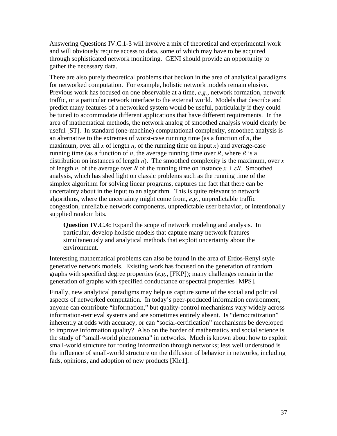Answering Questions IV.C.1-3 will involve a mix of theoretical and experimental work and will obviously require access to data, some of which may have to be acquired through sophisticated network monitoring. GENI should provide an opportunity to gather the necessary data.

There are also purely theoretical problems that beckon in the area of analytical paradigms for networked computation. For example, holistic network models remain elusive. Previous work has focused on one observable at a time, *e.g.*, network formation, network traffic, or a particular network interface to the external world. Models that describe and predict many features of a networked system would be useful, particularly if they could be tuned to accommodate different applications that have different requirements. In the area of mathematical methods, the network analog of smoothed analysis would clearly be useful [ST]. In standard (one-machine) computational complexity, smoothed analysis is an alternative to the extremes of worst-case running time (as a function of *n*, the maximum, over all x of length  $n$ , of the running time on input  $x$ ) and average-case running time (as a function of *n*, the average running time over *R*, where *R* is a distribution on instances of length *n*). The smoothed complexity is the maximum, over *x* of length *n*, of the average over *R* of the running time on instance  $x + \varepsilon R$ . Smoothed analysis, which has shed light on classic problems such as the running time of the simplex algorithm for solving linear programs, captures the fact that there can be uncertainty about in the input to an algorithm. This is quite relevant to network algorithms, where the uncertainty might come from, *e.g.*, unpredictable traffic congestion, unreliable network components, unpredictable user behavior, or intentionally supplied random bits.

**Question IV.C.4:** Expand the scope of network modeling and analysis. In particular, develop holistic models that capture many network features simultaneously and analytical methods that exploit uncertainty about the environment.

Interesting mathematical problems can also be found in the area of Erdos-Renyi style generative network models. Existing work has focused on the generation of random graphs with specified degree properties (*e.g.*, [FKP]); many challenges remain in the generation of graphs with specified conductance or spectral properties [MPS].

Finally, new analytical paradigms may help us capture some of the social and political aspects of networked computation. In today's peer-produced information environment, anyone can contribute "information," but quality-control mechanisms vary widely across information-retrieval systems and are sometimes entirely absent. Is "democratization" inherently at odds with accuracy, or can "social-certification" mechanisms be developed to improve information quality? Also on the border of mathematics and social science is the study of "small-world phenomena" in networks. Much is known about how to exploit small-world structure for routing information through networks; less well understood is the influence of small-world structure on the diffusion of behavior in networks, including fads, opinions, and adoption of new products [Kle1].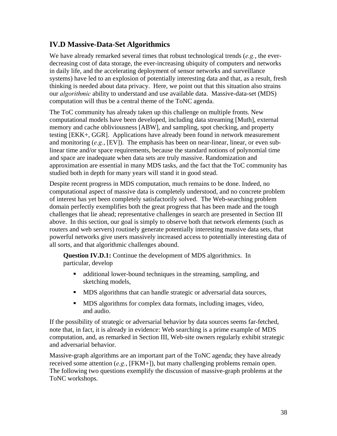### **IV.D Massive-Data-Set Algorithmics**

We have already remarked several times that robust technological trends (*e.g.*, the everdecreasing cost of data storage, the ever-increasing ubiquity of computers and networks in daily life, and the accelerating deployment of sensor networks and surveillance systems) have led to an explosion of potentially interesting data and that, as a result, fresh thinking is needed about data privacy. Here, we point out that this situation also strains our *algorithmic* ability to understand and use available data. Massive-data-set (MDS) computation will thus be a central theme of the ToNC agenda.

The ToC community has already taken up this challenge on multiple fronts. New computational models have been developed, including data streaming [Muth], external memory and cache obliviousness [ABW], and sampling, spot checking, and property testing [EKK+, GGR]. Applications have already been found in network measurement and monitoring (*e.g.*, [EV]). The emphasis has been on near-linear, linear, or even sublinear time and/or space requirements, because the standard notions of polynomial time and space are inadequate when data sets are truly massive. Randomization and approximation are essential in many MDS tasks, and the fact that the ToC community has studied both in depth for many years will stand it in good stead.

Despite recent progress in MDS computation, much remains to be done. Indeed, no computational aspect of massive data is completely understood, and no concrete problem of interest has yet been completely satisfactorily solved. The Web-searching problem domain perfectly exemplifies both the great progress that has been made and the tough challenges that lie ahead; representative challenges in search are presented in Section III above. In this section, our goal is simply to observe both that network elements (such as routers and web servers) routinely generate potentially interesting massive data sets, that powerful networks give users massively increased access to potentially interesting data of all sorts, and that algorithmic challenges abound.

**Question IV.D.1:** Continue the development of MDS algorithmics. In particular, develop

- additional lower-bound techniques in the streaming, sampling, and sketching models,
- **MDS** algorithms that can handle strategic or adversarial data sources,
- MDS algorithms for complex data formats, including images, video, and audio.

If the possibility of strategic or adversarial behavior by data sources seems far-fetched, note that, in fact, it is already in evidence: Web searching is a prime example of MDS computation, and, as remarked in Section III, Web-site owners regularly exhibit strategic and adversarial behavior.

Massive-graph algorithms are an important part of the ToNC agenda; they have already received some attention (*e.g.*, [FKM+]), but many challenging problems remain open. The following two questions exemplify the discussion of massive-graph problems at the ToNC workshops.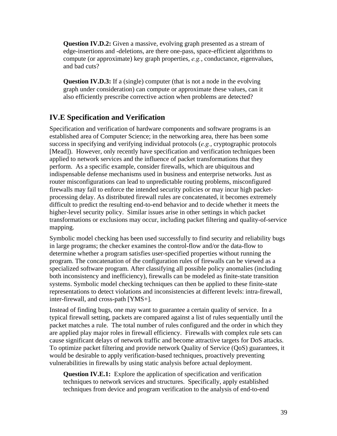**Question IV.D.2:** Given a massive, evolving graph presented as a stream of edge-insertions and -deletions, are there one-pass, space-efficient algorithms to compute (or approximate) key graph properties, *e.g.*, conductance, eigenvalues, and bad cuts?

**Question IV.D.3:** If a (single) computer (that is not a node in the evolving graph under consideration) can compute or approximate these values, can it also efficiently prescribe corrective action when problems are detected?

## **IV.E Specification and Verification**

Specification and verification of hardware components and software programs is an established area of Computer Science; in the networking area, there has been some success in specifying and verifying individual protocols (*e.g.*, cryptographic protocols [Mead]). However, only recently have specification and verification techniques been applied to network services and the influence of packet transformations that they perform. As a specific example, consider firewalls, which are ubiquitous and indispensable defense mechanisms used in business and enterprise networks. Just as router misconfigurations can lead to unpredictable routing problems, misconfigured firewalls may fail to enforce the intended security policies or may incur high packetprocessing delay. As distributed firewall rules are concatenated, it becomes extremely difficult to predict the resulting end-to-end behavior and to decide whether it meets the higher-level security policy. Similar issues arise in other settings in which packet transformations or exclusions may occur, including packet filtering and quality-of-service mapping.

Symbolic model checking has been used successfully to find security and reliability bugs in large programs; the checker examines the control-flow and/or the data-flow to determine whether a program satisfies user-specified properties without running the program. The concatenation of the configuration rules of firewalls can be viewed as a specialized software program. After classifying all possible policy anomalies (including both inconsistency and inefficiency), firewalls can be modeled as finite-state transition systems. Symbolic model checking techniques can then be applied to these finite-state representations to detect violations and inconsistencies at different levels: intra-firewall, inter-firewall, and cross-path [YMS+].

Instead of finding bugs, one may want to guarantee a certain quality of service. In a typical firewall setting, packets are compared against a list of rules sequentially until the packet matches a rule. The total number of rules configured and the order in which they are applied play major roles in firewall efficiency. Firewalls with complex rule sets can cause significant delays of network traffic and become attractive targets for DoS attacks. To optimize packet filtering and provide network Quality of Service (QoS) guarantees, it would be desirable to apply verification-based techniques, proactively preventing vulnerabilities in firewalls by using static analysis before actual deployment.

**Question IV.E.1:** Explore the application of specification and verification techniques to network services and structures. Specifically, apply established techniques from device and program verification to the analysis of end-to-end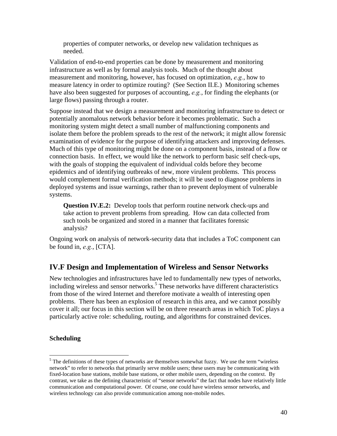properties of computer networks, or develop new validation techniques as needed.

Validation of end-to-end properties can be done by measurement and monitoring infrastructure as well as by formal analysis tools. Much of the thought about measurement and monitoring, however, has focused on optimization, *e.g.*, how to measure latency in order to optimize routing? (See Section II.E.) Monitoring schemes have also been suggested for purposes of accounting, *e.g.*, for finding the elephants (or large flows) passing through a router.

Suppose instead that we design a measurement and monitoring infrastructure to detect or potentially anomalous network behavior before it becomes problematic. Such a monitoring system might detect a small number of malfunctioning components and isolate them before the problem spreads to the rest of the network; it might allow forensic examination of evidence for the purpose of identifying attackers and improving defenses. Much of this type of monitoring might be done on a component basis, instead of a flow or connection basis. In effect, we would like the network to perform basic self check-ups, with the goals of stopping the equivalent of individual colds before they become epidemics and of identifying outbreaks of new, more virulent problems. This process would complement formal verification methods; it will be used to diagnose problems in deployed systems and issue warnings, rather than to prevent deployment of vulnerable systems.

**Question IV.E.2:** Develop tools that perform routine network check-ups and take action to prevent problems from spreading. How can data collected from such tools be organized and stored in a manner that facilitates forensic analysis?

Ongoing work on analysis of network-security data that includes a ToC component can be found in, *e.g.*, [CTA].

#### **IV.F Design and Implementation of Wireless and Sensor Networks**

New technologies and infrastructures have led to fundamentally new types of networks, including wireless and sensor networks.<sup>5</sup> These networks have different characteristics from those of the wired Internet and therefore motivate a wealth of interesting open problems. There has been an explosion of research in this area, and we cannot possibly cover it all; our focus in this section will be on three research areas in which ToC plays a particularly active role: scheduling, routing, and algorithms for constrained devices.

#### **Scheduling**

 $\overline{a}$ 

 $<sup>5</sup>$  The definitions of these types of networks are themselves somewhat fuzzy. We use the term "wireless"</sup> network" to refer to networks that primarily serve mobile users; these users may be communicating with fixed-location base stations, mobile base stations, or other mobile users, depending on the context. By contrast, we take as the defining characteristic of "sensor networks" the fact that nodes have relatively little communication and computational power. Of course, one could have wireless sensor networks, and wireless technology can also provide communication among non-mobile nodes.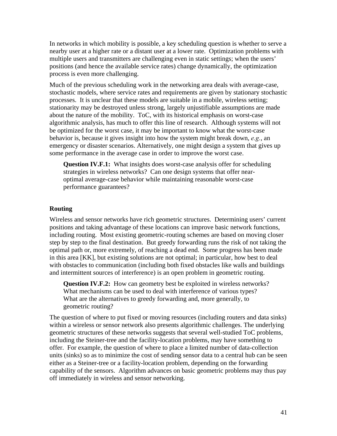In networks in which mobility is possible, a key scheduling question is whether to serve a nearby user at a higher rate or a distant user at a lower rate. Optimization problems with multiple users and transmitters are challenging even in static settings; when the users' positions (and hence the available service rates) change dynamically, the optimization process is even more challenging.

Much of the previous scheduling work in the networking area deals with average-case, stochastic models, where service rates and requirements are given by stationary stochastic processes. It is unclear that these models are suitable in a mobile, wireless setting; stationarity may be destroyed unless strong, largely unjustifiable assumptions are made about the nature of the mobility. ToC, with its historical emphasis on worst-case algorithmic analysis, has much to offer this line of research. Although systems will not be optimized for the worst case, it may be important to know what the worst-case behavior is, because it gives insight into how the system might break down, *e.g.*, an emergency or disaster scenarios. Alternatively, one might design a system that gives up some performance in the average case in order to improve the worst case.

**Question IV.F.1:** What insights does worst-case analysis offer for scheduling strategies in wireless networks? Can one design systems that offer nearoptimal average-case behavior while maintaining reasonable worst-case performance guarantees?

#### **Routing**

Wireless and sensor networks have rich geometric structures. Determining users' current positions and taking advantage of these locations can improve basic network functions, including routing. Most existing geometric-routing schemes are based on moving closer step by step to the final destination. But greedy forwarding runs the risk of not taking the optimal path or, more extremely, of reaching a dead end. Some progress has been made in this area [KK], but existing solutions are not optimal; in particular, how best to deal with obstacles to communication (including both fixed obstacles like walls and buildings and intermittent sources of interference) is an open problem in geometric routing.

**Question IV.F.2:** How can geometry best be exploited in wireless networks? What mechanisms can be used to deal with interference of various types? What are the alternatives to greedy forwarding and, more generally, to geometric routing?

The question of where to put fixed or moving resources (including routers and data sinks) within a wireless or sensor network also presents algorithmic challenges. The underlying geometric structures of these networks suggests that several well-studied ToC problems, including the Steiner-tree and the facility-location problems, may have something to offer. For example, the question of where to place a limited number of data-collection units (sinks) so as to minimize the cost of sending sensor data to a central hub can be seen either as a Steiner-tree or a facility-location problem, depending on the forwarding capability of the sensors. Algorithm advances on basic geometric problems may thus pay off immediately in wireless and sensor networking.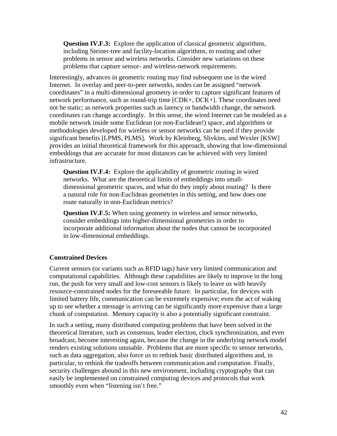**Question IV.F.3:** Explore the application of classical geometric algorithms, including Steiner-tree and facility-location algorithms, to routing and other problems in sensor and wireless networks. Consider new variations on these problems that capture sensor- and wireless-network requirements.

Interestingly, advances in geometric routing may find subsequent use in the wired Internet. In overlay and peer-to-peer networks, nodes can be assigned "network coordinates" in a multi-dimensional geometry in order to capture significant features of network performance, such as round-trip time [CDK+, DCK+]. These coordinates need not be static; as network properties such as latency or bandwidth change, the network coordinates can change accordingly. In this sense, the wired Internet can be modeled as a mobile network inside some Euclidean (or non-Euclidean!) space, and algorithms or methodologies developed for wireless or sensor networks can be used if they provide significant benefits [LPMS, PLMS]. Work by Kleinberg, Slivkins, and Wexler [KSW] provides an initial theoretical framework for this approach, showing that low-dimensional embeddings that are accurate for most distances can be achieved with very limited infrastructure.

**Question IV.F.4:** Explore the applicability of geometric routing in wired networks. What are the theoretical limits of embeddings into smalldimensional geometric spaces, and what do they imply about routing? Is there a natural role for non-Euclidean geometries in this setting, and how does one route naturally in non-Euclidean metrics?

**Question IV.F.5:** When using geometry in wireless and sensor networks, consider embeddings into higher-dimensional geometries in order to incorporate additional information about the nodes that cannot be incorporated in low-dimensional embeddings.

#### **Constrained Devices**

Current sensors (or variants such as RFID tags) have very limited communication and computational capabilities. Although these capabilities are likely to improve in the long run, the push for very small and low-cost sensors is likely to leave us with heavily resource-constrained nodes for the foreseeable future. In particular, for devices with limited battery life, communication can be extremely expensive; even the act of waking up to see whether a message is arriving can be significantly more expensive than a large chunk of computation. Memory capacity is also a potentially significant constraint.

In such a setting, many distributed computing problems that have been solved in the theoretical literature, such as consensus, leader election, clock synchronization, and even broadcast, become interesting again, because the change in the underlying network model renders existing solutions unusable. Problems that are more specific to sensor networks, such as data aggregation, also force us to rethink basic distributed algorithms and, in particular, to rethink the tradeoffs between communication and computation. Finally, security challenges abound in this new environment, including cryptography that can easily be implemented on constrained computing devices and protocols that work smoothly even when "listening isn't free."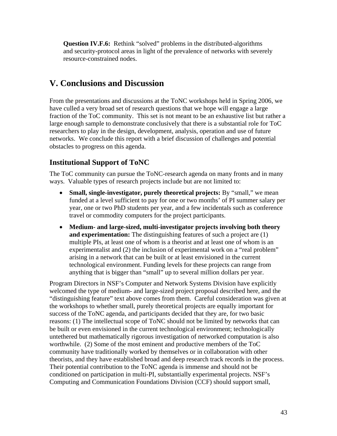**Question IV.F.6:** Rethink "solved" problems in the distributed-algorithms and security-protocol areas in light of the prevalence of networks with severely resource-constrained nodes.

## **V. Conclusions and Discussion**

From the presentations and discussions at the ToNC workshops held in Spring 2006, we have culled a very broad set of research questions that we hope will engage a large fraction of the ToC community. This set is not meant to be an exhaustive list but rather a large enough sample to demonstrate conclusively that there is a substantial role for ToC researchers to play in the design, development, analysis, operation and use of future networks. We conclude this report with a brief discussion of challenges and potential obstacles to progress on this agenda.

## **Institutional Support of ToNC**

The ToC community can pursue the ToNC-research agenda on many fronts and in many ways. Valuable types of research projects include but are not limited to:

- **Small, single-investigator, purely theoretical projects:** By "small," we mean funded at a level sufficient to pay for one or two months' of PI summer salary per year, one or two PhD students per year, and a few incidentals such as conference travel or commodity computers for the project participants.
- **Medium- and large-sized, multi-investigator projects involving both theory and experimentation:** The distinguishing features of such a project are (1) multiple PIs, at least one of whom is a theorist and at least one of whom is an experimentalist and (2) the inclusion of experimental work on a "real problem" arising in a network that can be built or at least envisioned in the current technological environment. Funding levels for these projects can range from anything that is bigger than "small" up to several million dollars per year.

Program Directors in NSF's Computer and Network Systems Division have explicitly welcomed the type of medium- and large-sized project proposal described here, and the "distinguishing feature" text above comes from them. Careful consideration was given at the workshops to whether small, purely theoretical projects are equally important for success of the ToNC agenda, and participants decided that they are, for two basic reasons: (1) The intellectual scope of ToNC should not be limited by networks that can be built or even envisioned in the current technological environment; technologically untethered but mathematically rigorous investigation of networked computation is also worthwhile. (2) Some of the most eminent and productive members of the ToC community have traditionally worked by themselves or in collaboration with other theorists, and they have established broad and deep research track records in the process. Their potential contribution to the ToNC agenda is immense and should not be conditioned on participation in multi-PI, substantially experimental projects. NSF's Computing and Communication Foundations Division (CCF) should support small,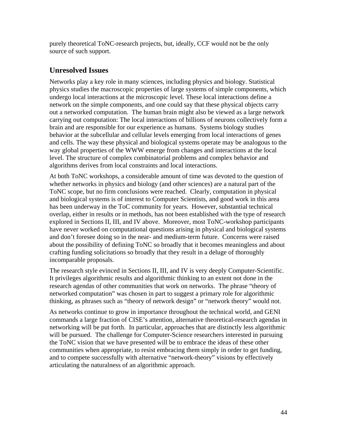purely theoretical ToNC-research projects, but, ideally, CCF would not be the only source of such support.

## **Unresolved Issues**

Networks play a key role in many sciences, including physics and biology. Statistical physics studies the macroscopic properties of large systems of simple components, which undergo local interactions at the microscopic level. These local interactions define a network on the simple components, and one could say that these physical objects carry out a networked computation. The human brain might also be viewed as a large network carrying out computation: The local interactions of billions of neurons collectively form a brain and are responsible for our experience as humans. Systems biology studies behavior at the subcellular and cellular levels emerging from local interactions of genes and cells. The way these physical and biological systems operate may be analogous to the way global properties of the WWW emerge from changes and interactions at the local level. The structure of complex combinatorial problems and complex behavior and algorithms derives from local constraints and local interactions.

At both ToNC workshops, a considerable amount of time was devoted to the question of whether networks in physics and biology (and other sciences) are a natural part of the ToNC scope, but no firm conclusions were reached. Clearly, computation in physical and biological systems is of interest to Computer Scientists, and good work in this area has been underway in the ToC community for years. However, substantial technical overlap, either in results or in methods, has not been established with the type of research explored in Sections II, III, and IV above. Moreover, most ToNC-workshop participants have never worked on computational questions arising in physical and biological systems and don't foresee doing so in the near- and medium-term future. Concerns were raised about the possibility of defining ToNC so broadly that it becomes meaningless and about crafting funding solicitations so broadly that they result in a deluge of thoroughly incomparable proposals.

The research style evinced in Sections II, III, and IV is very deeply Computer-Scientific. It privileges algorithmic results and algorithmic thinking to an extent not done in the research agendas of other communities that work on networks. The phrase "theory of networked computation" was chosen in part to suggest a primary role for algorithmic thinking, as phrases such as "theory of network design" or "network theory" would not.

As networks continue to grow in importance throughout the technical world, and GENI commands a large fraction of CISE's attention, alternative theoretical-research agendas in networking will be put forth. In particular, approaches that are distinctly less algorithmic will be pursued. The challenge for Computer-Science researchers interested in pursuing the ToNC vision that we have presented will be to embrace the ideas of these other communities when appropriate, to resist embracing them simply in order to get funding, and to compete successfully with alternative "network-theory" visions by effectively articulating the naturalness of an algorithmic approach.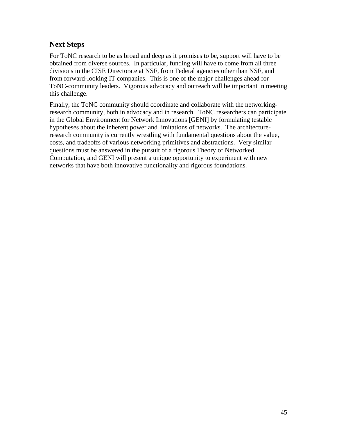## **Next Steps**

For ToNC research to be as broad and deep as it promises to be, support will have to be obtained from diverse sources. In particular, funding will have to come from all three divisions in the CISE Directorate at NSF, from Federal agencies other than NSF, and from forward-looking IT companies. This is one of the major challenges ahead for ToNC-community leaders. Vigorous advocacy and outreach will be important in meeting this challenge.

Finally, the ToNC community should coordinate and collaborate with the networkingresearch community, both in advocacy and in research. ToNC researchers can participate in the Global Environment for Network Innovations [GENI] by formulating testable hypotheses about the inherent power and limitations of networks. The architectureresearch community is currently wrestling with fundamental questions about the value, costs, and tradeoffs of various networking primitives and abstractions. Very similar questions must be answered in the pursuit of a rigorous Theory of Networked Computation, and GENI will present a unique opportunity to experiment with new networks that have both innovative functionality and rigorous foundations.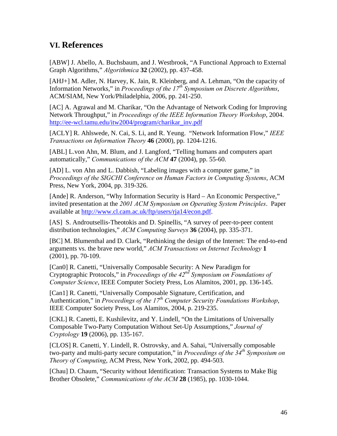## **VI. References**

[ABW] J. Abello, A. Buchsbaum, and J. Westbrook, "A Functional Approach to External Graph Algorithms," *Algorithmica* **32** (2002), pp. 437-458.

[AHJ+] M. Adler, N. Harvey, K. Jain, R. Kleinberg, and A. Lehman, "On the capacity of Information Networks," in *Proceedings of the 17th Symposium on Discrete Algorithms*, ACM/SIAM, New York/Philadelphia, 2006, pp. 241-250.

[AC] A. Agrawal and M. Charikar, "On the Advantage of Network Coding for Improving Network Throughput," in *Proceedings of the IEEE Information Theory Workshop*, 2004. [http://ee-wcl.tamu.edu/itw2004/program/charikar\\_inv.pdf](http://ee-wcl.tamu.edu/itw2004/program/charikar_inv.pdf)

[ACLY] R. Ahlswede, N. Cai, S. Li, and R. Yeung. "Network Information Flow," *IEEE Transactions on Information Theory* **46** (2000), pp. 1204-1216.

[ABL] L.von Ahn, M. Blum, and J. Langford, "Telling humans and computers apart automatically," *Communications of the ACM* **47** (2004), pp. 55-60.

[AD] L. von Ahn and L. Dabbish, "Labeling images with a computer game," in *Proceedings of the SIGCHI Conference on Human Factors in Computing Systems*, ACM Press, New York, 2004, pp. 319-326.

[Ande] R. Anderson, "Why Information Security is Hard – An Economic Perspective," invited presentation at the *2001 ACM Symposium on Operating System Principles*. Paper available at [http://www.cl.cam.ac.uk/ftp/users/rja14/econ.pdf.](http://www.cl.cam.ac.uk/ftp/users/rja14/econ.pdf) 

[AS] S. Androutsellis-Theotokis and D. Spinellis, "A survey of peer-to-peer content distribution technologies," *ACM Computing Surveys* **36** (2004), pp. 335-371.

[BC] M. Blumenthal and D. Clark, "Rethinking the design of the Internet: The end-to-end arguments vs. the brave new world," *ACM Transactions on Internet Technology* **1** (2001), pp. 70-109.

[Can0] R. Canetti, "Universally Composable Security: A New Paradigm for Cryptographic Protocols," in *Proceedings of the 42nd Symposium on Foundations of Computer Science*, IEEE Computer Society Press, Los Alamitos, 2001, pp. 136-145.

[Can1] R. Canetti, "Universally Composable Signature, Certification, and Authentication," in *Proceedings of the 17<sup>th</sup> Computer Security Foundations Workshop*, IEEE Computer Society Press, Los Alamitos, 2004, p. 219-235.

[CKL] R. Canetti, E. Kushilevitz, and Y. Lindell, "On the Limitations of Universally Composable Two-Party Computation Without Set-Up Assumptions," *Journal of Cryptology* **19** (2006), pp. 135-167.

[CLOS] R. Canetti, Y. Lindell, R. Ostrovsky, and A. Sahai, "Universally composable two-party and multi-party secure computation," in *Proceedings of the 34th Symposium on Theory of Computing*, ACM Press, New York, 2002, pp. 494-503.

[Chau] D. Chaum, "Security without Identification: Transaction Systems to Make Big Brother Obsolete," *Communications of the ACM* **28** (1985), pp. 1030-1044.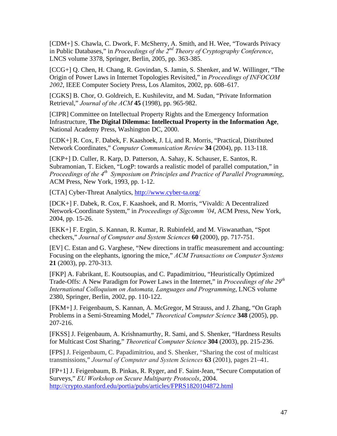[CDM+] S. Chawla, C. Dwork, F. McSherry, A. Smith, and H. Wee, "Towards Privacy in Public Databases," in *Proceedings of the 2nd Theory of Cryptography Conference*, LNCS volume 3378, Springer, Berlin, 2005, pp. 363-385.

[CCG+] Q. Chen, H. Chang, R. Govindan, S. Jamin, S. Shenker, and W. Willinger, "The Origin of Power Laws in Internet Topologies Revisited," in *Proceedings of INFOCOM 2002*, IEEE Computer Society Press, Los Alamitos, 2002, pp. 608–617.

[CGKS] B. Chor, O. Goldreich, E. Kushilevitz, and M. Sudan, "Private Information Retrieval," *Journal of the ACM* **45** (1998), pp. 965-982.

[CIPR] Committee on Intellectual Property Rights and the Emergency Information Infrastructure, **The Digital Dilemma: Intellectual Property in the Information Age**, National Academy Press, Washington DC, 2000.

[CDK+] R. Cox, F. Dabek, F. Kaashoek, J. Li, and R. Morris, "Practical, Distributed Network Coordinates," *Computer Communication Review* **34** (2004), pp. 113-118.

[CKP+] D. Culler, R. Karp, D. Patterson, A. Sahay, K. Schauser, E. Santos, R. Subramonian, T. Eicken, "LogP: towards a realistic model of parallel computation," in *Proceedings of the 4th Symposium on Principles and Practice of Parallel Programming*, ACM Press, New York, 1993, pp. 1-12.

[CTA] Cyber-Threat Analytics, <http://www.cyber-ta.org/>

[DCK+] F. Dabek, R. Cox, F. Kaashoek, and R. Morris, "Vivaldi: A Decentralized Network-Coordinate System," in *Proceedings of Sigcomm '04*, ACM Press, New York, 2004, pp. 15-26.

[EKK+] F. Ergün, S. Kannan, R. Kumar, R. Rubinfeld, and M. Viswanathan, "Spot checkers," *Journal of Computer and System Sciences* **60** (2000), pp. 717-751.

[EV] C. Estan and G. Varghese, "New directions in traffic measurement and accounting: Focusing on the elephants, ignoring the mice," *ACM Transactions on Computer Systems* **21** (2003), pp. 270-313.

[FKP] A. Fabrikant, E. Koutsoupias, and C. Papadimitriou, "Heuristically Optimized Trade-Offs: A New Paradigm for Power Laws in the Internet," in *Proceedings of the 29th International Colloquium on Automata, Languages and Programming*, LNCS volume 2380, Springer, Berlin, 2002, pp. 110-122.

[FKM+] J. Feigenbaum, S. Kannan, A. McGregor, M Strauss, and J. Zhang, "On Graph Problems in a Semi-Streaming Model," *Theoretical Computer Science* **348** (2005), pp. 207-216.

[FKSS] J. Feigenbaum, A. Krishnamurthy, R. Sami, and S. Shenker, "Hardness Results for Multicast Cost Sharing," *Theoretical Computer Science* **304** (2003), pp. 215-236.

[FPS] J. Feigenbaum, C. Papadimitriou, and S. Shenker, "Sharing the cost of multicast transmissions," *Journal of Computer and System Sciences* **63** (2001), pages 21–41.

[FP+1] J. Feigenbaum, B. Pinkas, R. Ryger, and F. Saint-Jean, "Secure Computation of Surveys," *EU Workshop on Secure Multiparty Protocols*, 2004. <http://crypto.stanford.edu/portia/pubs/articles/FPRS1820104872.html>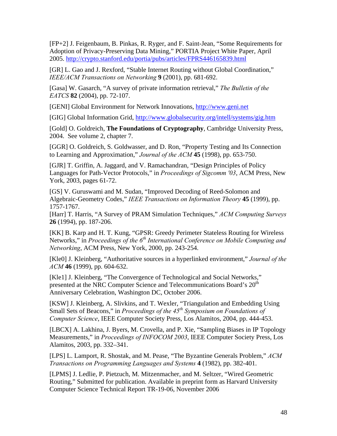[FP+2] J. Feigenbaum, B. Pinkas, R. Ryger, and F. Saint-Jean, "Some Requirements for Adoption of Privacy-Preserving Data Mining," PORTIA Project White Paper, April 2005. <http://crypto.stanford.edu/portia/pubs/articles/FPRS446165839.html>

[GR] L. Gao and J. Rexford, "Stable Internet Routing without Global Coordination," *IEEE/ACM Transactions on Networking* **9** (2001), pp. 681-692.

[Gasa] W. Gasarch, "A survey of private information retrieval," *The Bulletin of the EATCS* **82** (2004), pp. 72-107.

[GENI] Global Environment for Network Innovations, <http://www.geni.net>

[GIG] Global Information Grid,<http://www.globalsecurity.org/intell/systems/gig.htm>

[Gold] O. Goldreich, **The Foundations of Cryptography**, Cambridge University Press, 2004. See volume 2, chapter 7.

[GGR] O. Goldreich, S. Goldwasser, and D. Ron, "Property Testing and Its Connection to Learning and Approximation," *Journal of the ACM* **45** (1998), pp. 653-750.

[GJR] T. Griffin, A. Jaggard, and V. Ramachandran, "Design Principles of Policy Languages for Path-Vector Protocols," in *Proceedings of Sigcomm '03*, ACM Press, New York, 2003, pages 61-72.

[GS] V. Guruswami and M. Sudan, "Improved Decoding of Reed-Solomon and Algebraic-Geometry Codes," *IEEE Transactions on Information Theory* **45** (1999), pp. 1757-1767.

[Harr] T. Harris, "A Survey of PRAM Simulation Techniques," *ACM Computing Surveys* **26** (1994), pp. 187-206.

[KK] B. Karp and H. T. Kung, "GPSR: Greedy Perimeter Stateless Routing for Wireless Networks," in *Proceedings of the 6<sup>th</sup> International Conference on Mobile Computing and Networking*, ACM Press, New York, 2000, pp. 243-254.

[Kle0] J. Kleinberg, "Authoritative sources in a hyperlinked environment," *Journal of the ACM* **46** (1999), pp. 604-632.

[Kle1] J. Kleinberg, "The Convergence of Technological and Social Networks," presented at the NRC Computer Science and Telecommunications Board's 20<sup>th</sup> Anniversary Celebration, Washington DC, October 2006.

[KSW] J. Kleinberg, A. Slivkins, and T. Wexler, "Triangulation and Embedding Using Small Sets of Beacons," in *Proceedings of the 45<sup>th</sup> Symposium on Foundations of Computer Science*, IEEE Computer Society Press, Los Alamitos, 2004, pp. 444-453.

[LBCX] A. Lakhina, J. Byers, M. Crovella, and P. Xie, "Sampling Biases in IP Topology Measurements," in *Proceedings of INFOCOM 2003*, IEEE Computer Society Press, Los Alamitos, 2003, pp. 332–341.

[LPS] L. Lamport, R. Shostak, and M. Pease, "The Byzantine Generals Problem," *ACM Transactions on Programming Languages and Systems* **4** (1982), pp. 382-401.

[LPMS] J. Ledlie, P. Pietzuch, M. Mitzenmacher, and M. Seltzer, "Wired Geometric Routing," Submitted for publication. Available in preprint form as Harvard University Computer Science Technical Report TR-19-06, November 2006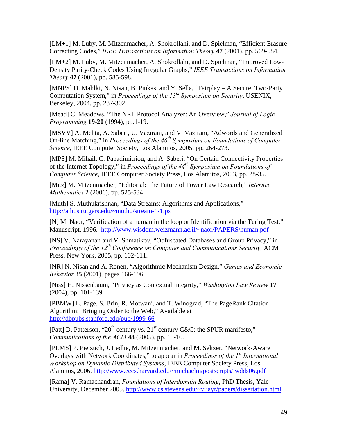[LM+1] M. Luby, M. Mitzenmacher, A. Shokrollahi, and D. Spielman, "Efficient Erasure Correcting Codes," *IEEE Transactions on Information Theory* **47** (2001), pp. 569-584.

[LM+2] M. Luby, M. Mitzenmacher, A. Shokrollahi, and D. Spielman, "Improved Low-Density Parity-Check Codes Using Irregular Graphs," *IEEE Transactions on Information Theory* **47** (2001), pp. 585-598.

[MNPS] D. Mahlki, N. Nisan, B. Pinkas, and Y. Sella, "Fairplay – A Secure, Two-Party Computation System," in *Proceedings of the 13th Symposium on Security*, USENIX, Berkeley, 2004, pp. 287-302.

[Mead] C. Meadows, "The NRL Protocol Analyzer: An Overview," *Journal of Logic Programming* **19-20** (1994), pp.1-19.

[MSVV] A. Mehta, A. Saberi, U. Vazirani, and V. Vazirani, "Adwords and Generalized On-line Matching," in *Proceedings of the 46th Symposium on Foundations of Computer Science*, IEEE Computer Society, Los Alamitos, 2005, pp. 264-273.

[MPS] M. Mihail, C. Papadimitriou, and A. Saberi, "On Certain Connectivity Properties of the Internet Topology," in *Proceedings of the 44th Symposium on Foundations of Computer Science*, IEEE Computer Society Press, Los Alamitos, 2003, pp. 28-35.

[Mitz] M. Mitzenmacher, "Editorial: The Future of Power Law Research," *Internet Mathematics* **2** (2006), pp. 525-534.

[Muth] S. Muthukrishnan, "Data Streams: Algorithms and Applications," <http://athos.rutgers.edu/~muthu/stream-1-1.ps>

[N] M. Naor, "Verification of a human in the loop or Identification via the Turing Test," Manuscript, 1996. <http://www.wisdom.weizmann.ac.il/~naor/PAPERS/human.pdf>

[NS] V. Narayanan and V. Shmatikov, "Obfuscated Databases and Group Privacy," in *Proceedings of the 12th Conference on Computer and Communications Security,* ACM Press, New York, 2005**,** pp. 102-111.

[NR] N. Nisan and A. Ronen, "Algorithmic Mechanism Design," *Games and Economic Behavior* **35** (2001), pages 166-196.

[Niss] H. Nissenbaum, "Privacy as Contextual Integrity," *Washington Law Review* **17** (2004), pp. 101-139.

[PBMW] L. Page, S. Brin, R. Motwani, and T. Winograd, "The PageRank Citation Algorithm: Bringing Order to the Web," Available at <http://dbpubs.stanford.edu/pub/1999-66>

[Patt] D. Patterson, "20<sup>th</sup> century vs. 21<sup>st</sup> century C&C: the SPUR manifesto," *Communications of the ACM* **48** (2005), pp. 15-16.

[PLMS] P. Pietzuch, J. Ledlie, M. Mitzenmacher, and M. Seltzer, "Network-Aware Overlays with Network Coordinates," to appear in *Proceedings of the 1st International Workshop on Dynamic Distributed Systems*, IEEE Computer Society Press, Los Alamitos, 2006. <http://www.eecs.harvard.edu/~michaelm/postscripts/iwdds06.pdf>

[Rama] V. Ramachandran, *Foundations of Interdomain Routing*, PhD Thesis, Yale University, December 2005. <http://www.cs.stevens.edu/~vijayr/papers/dissertation.html>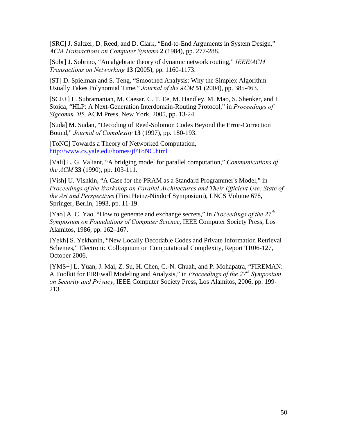[SRC] J. Saltzer, D. Reed, and D. Clark, "End-to-End Arguments in System Design," *ACM Transactions on Computer Systems* **2** (1984), pp. 277-288.

[Sobr] J. Sobrino, "An algebraic theory of dynamic network routing," *IEEE/ACM Transactions on Networking* **13** (2005), pp. 1160-1173.

[ST] D. Spielman and S. Teng, "Smoothed Analysis: Why the Simplex Algorithm Usually Takes Polynomial Time," *Journal of the ACM* **51** (2004), pp. 385-463.

[SCE+] L. Subramanian, M. Caesar, C. T. Ee, M. Handley, M. Mao, S. Shenker, and I. Stoica, "HLP: A Next-Generation Interdomain-Routing Protocol," in *Proceedings of Sigcomm '05*, ACM Press, New York, 2005, pp. 13-24.

[Suda] M. Sudan, "Decoding of Reed-Solomon Codes Beyond the Error-Correction Bound," *Journal of Complexity* **13** (1997), pp. 180-193.

[ToNC] Towards a Theory of Networked Computation, <http://www.cs.yale.edu/homes/jf/ToNC.html>

[Vali] L. G. Valiant, "A bridging model for parallel computation," *Communications of the ACM* **33** (1990), pp. 103-111.

[Vish] U. Vishkin, "A Case for the PRAM as a Standard Programmer's Model," in *Proceedings of the Workshop on Parallel Architectures and Their Efficient Use: State of the Art and Perspectives* (First Heinz-Nixdorf Symposium), LNCS Volume 678, Springer, Berlin, 1993, pp. 11-19.

[Yao] A. C. Yao. "How to generate and exchange secrets," in *Proceedings of the 27th Symposium on Foundations of Computer Science*, IEEE Computer Society Press, Los Alamitos, 1986, pp. 162–167.

[Yekh] S. Yekhanin, "New Locally Decodable Codes and Private Information Retrieval Schemes," Electronic Colloquium on Computational Complexity, Report TR06-127, October 2006.

[YMS+] L. Yuan, J. Mai, Z. Su, H. Chen, C.-N. Chuah, and P. Mohapatra, "FIREMAN: A Toolkit for FIREwall Modeling and Analysis," in *Proceedings of the 27th Symposium on Security and Privacy*, IEEE Computer Society Press, Los Alamitos, 2006, pp. 199- 213.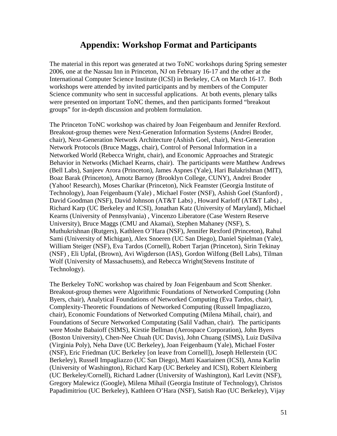## **Appendix: Workshop Format and Participants**

The material in this report was generated at two ToNC workshops during Spring semester 2006, one at the Nassau Inn in Princeton, NJ on February 16-17 and the other at the International Computer Science Institute (ICSI) in Berkeley, CA on March 16-17. Both workshops were attended by invited participants and by members of the Computer Science community who sent in successful applications. At both events, plenary talks were presented on important ToNC themes, and then participants formed "breakout groups" for in-depth discussion and problem formulation.

The Princeton ToNC workshop was chaired by Joan Feigenbaum and Jennifer Rexford. Breakout-group themes were Next-Generation Information Systems (Andrei Broder, chair), Next-Generation Network Architecture (Ashish Goel, chair), Next-Generation Network Protocols (Bruce Maggs, chair), Control of Personal Information in a Networked World (Rebecca Wright, chair), and Economic Approaches and Strategic Behavior in Networks (Michael Kearns, chair). The participants were Matthew Andrews (Bell Labs), Sanjeev Arora (Princeton), James Aspnes (Yale), Hari Balakrishnan (MIT), Boaz Barak (Princeton), Amotz Barnoy (Brooklyn College, CUNY), Andrei Broder (Yahoo! Research), Moses Charikar (Princeton), Nick Feamster (Georgia Institute of Technology), Joan Feigenbaum (Yale) , Michael Foster (NSF), Ashish Goel (Stanford) , David Goodman (NSF), David Johnson (AT&T Labs) , Howard Karloff (AT&T Labs) , Richard Karp (UC Berkeley and ICSI), Jonathan Katz (University of Maryland), Michael Kearns (University of Pennsylvania) , Vincenzo Liberatore (Case Western Reserve University), Bruce Maggs (CMU and Akamai), Stephen Mahaney (NSF), S. Muthukrishnan (Rutgers), Kathleen O'Hara (NSF), Jennifer Rexford (Princeton), Rahul Sami (University of Michigan), Alex Snoeren (UC San Diego), Daniel Spielman (Yale), William Steiger (NSF), Eva Tardos (Cornell), Robert Tarjan (Princeton), Sirin Tekinay (NSF) , Eli Upfal, (Brown), Avi Wigderson (IAS), Gordon Wilfong (Bell Labs), Tilman Wolf (University of Massachusetts), and Rebecca Wright(Stevens Institute of Technology).

The Berkeley ToNC workshop was chaired by Joan Feigenbaum and Scott Shenker. Breakout-group themes were Algorithmic Foundations of Networked Computing (John Byers, chair), Analytical Foundations of Networked Computing (Eva Tardos, chair), Complexity-Theoretic Foundations of Networked Computing (Russell Impagliazzo, chair), Economic Foundations of Networked Computing (Milena Mihail, chair), and Foundations of Secure Networked Computating (Salil Vadhan, chair). The participants were Moshe Babaioff (SIMS), Kirstie Bellman (Aerospace Corporation), John Byers (Boston University), Chen-Nee Chuah (UC Davis), John Chuang (SIMS), Luiz DaSilva (Virginia Poly), Neha Dave (UC Berkeley), Joan Feigenbaum (Yale), Michael Foster (NSF), Eric Friedman (UC Berkeley [on leave from Cornell]), Joseph Hellerstein (UC Berkeley), Russell Impagliazzo (UC San Diego), Matti Kaariainen (ICSI), Anna Karlin (University of Washington), Richard Karp (UC Berkeley and ICSI), Robert Kleinberg (UC Berkeley/Cornell), Richard Ladner (University of Washington), Karl Levitt (NSF), Gregory Malewicz (Google), Milena Mihail (Georgia Institute of Technology), Christos Papadimitriou (UC Berkeley), Kathleen O'Hara (NSF), Satish Rao (UC Berkeley), Vijay